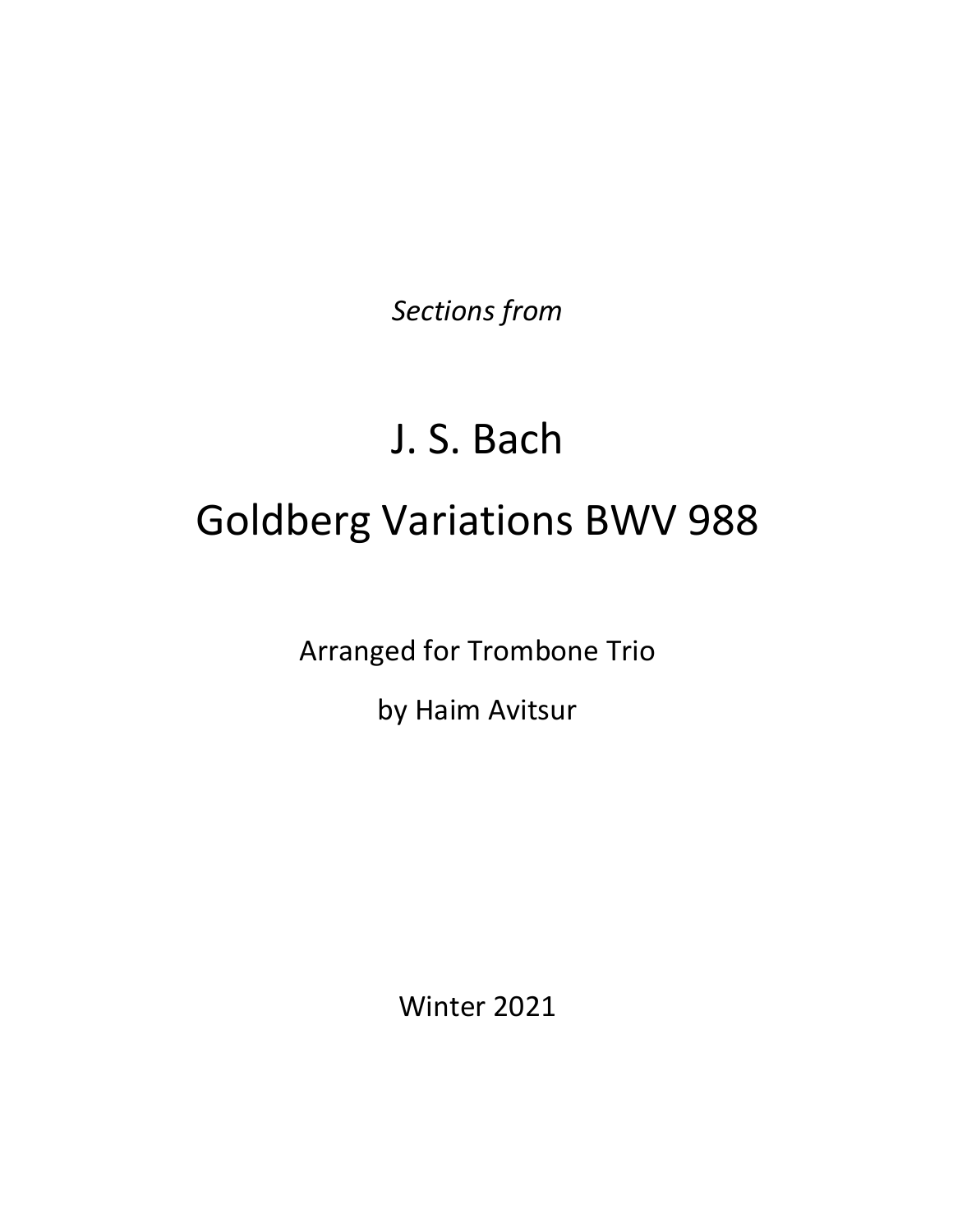*Sections from*

## J. S. Bach Goldberg Variations BWV 988

Arranged for Trombone Trio

by Haim Avitsur

Winter 2021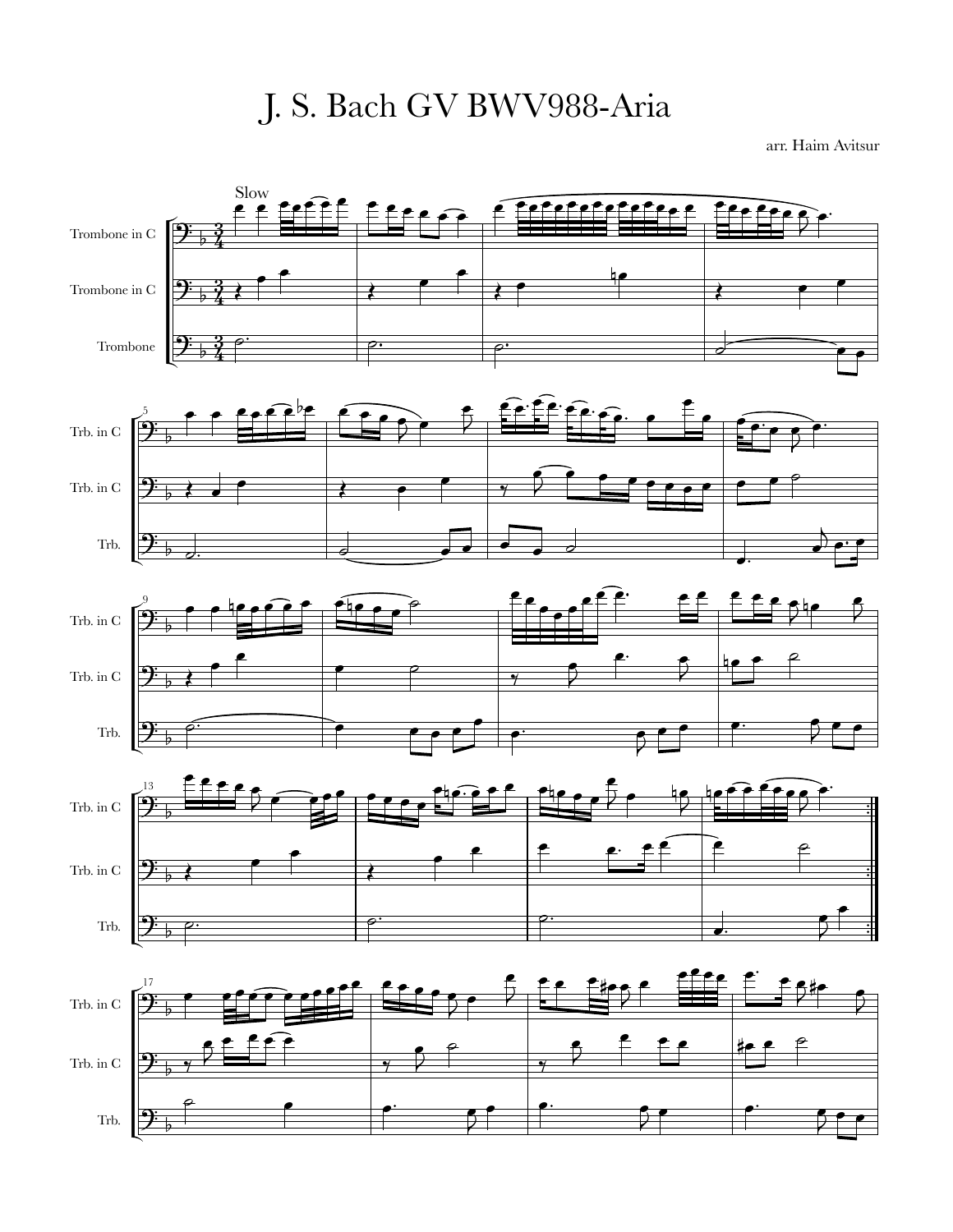

J. S. Bach GV BWV988-Aria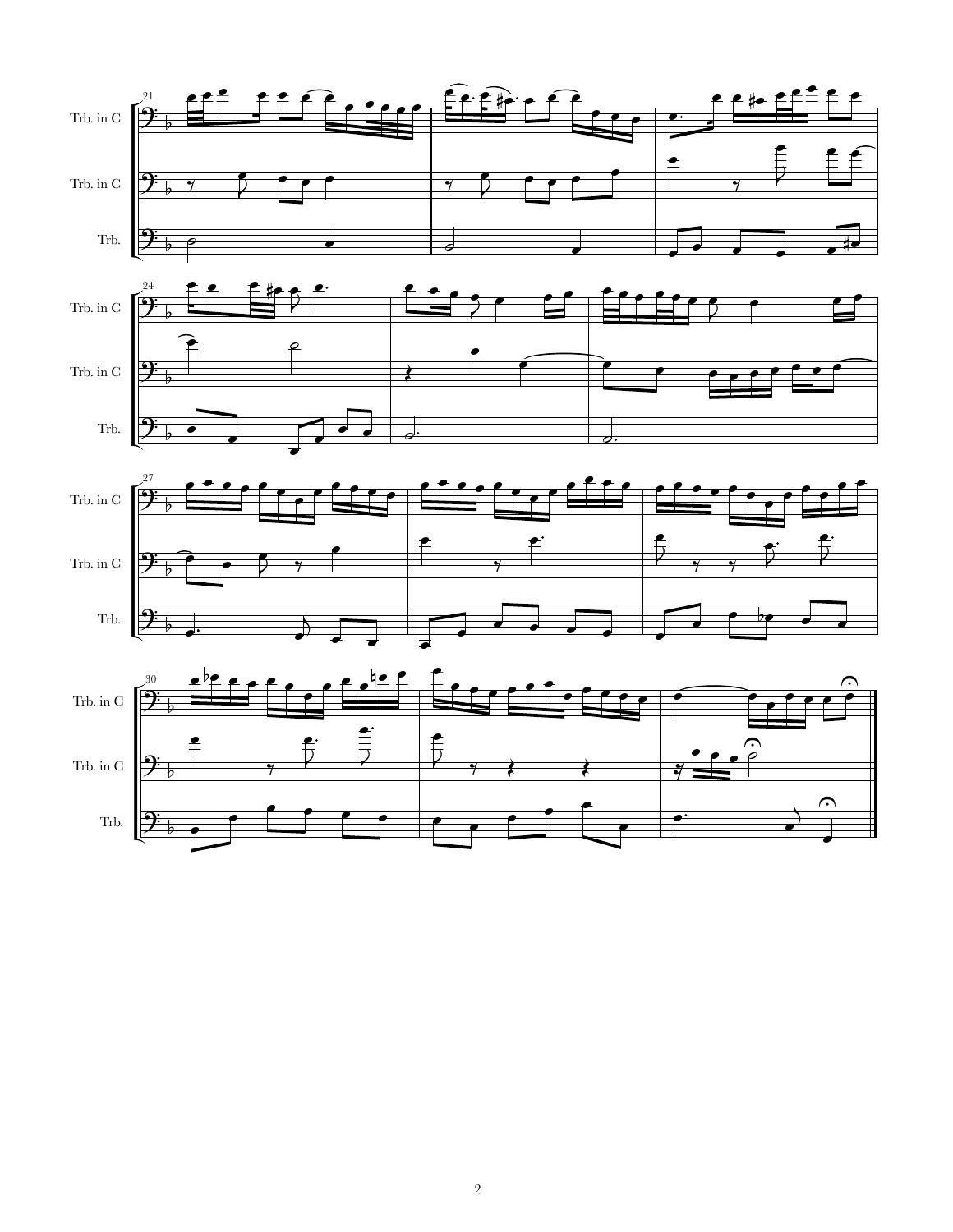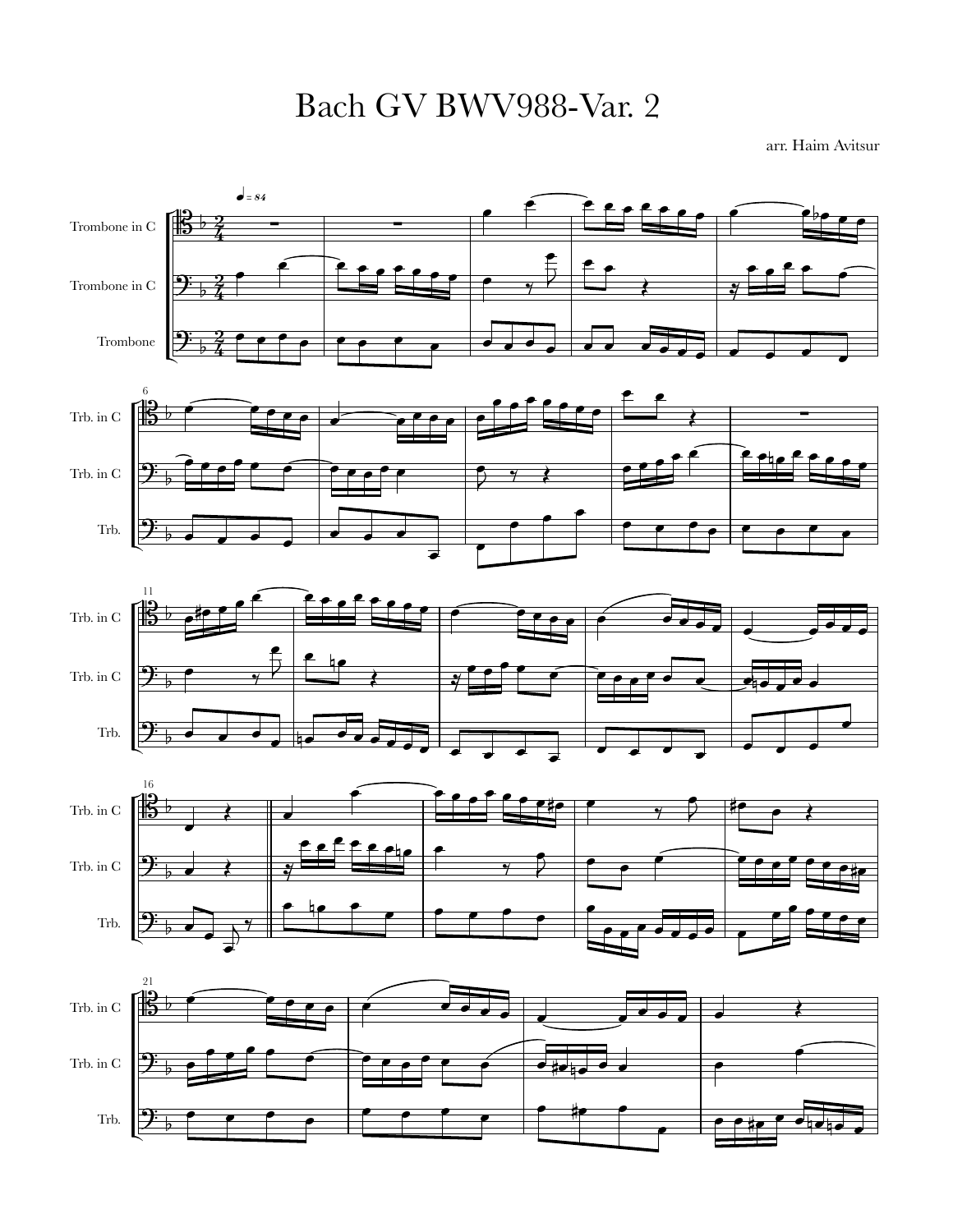Bach GV BWV988-Var. 2



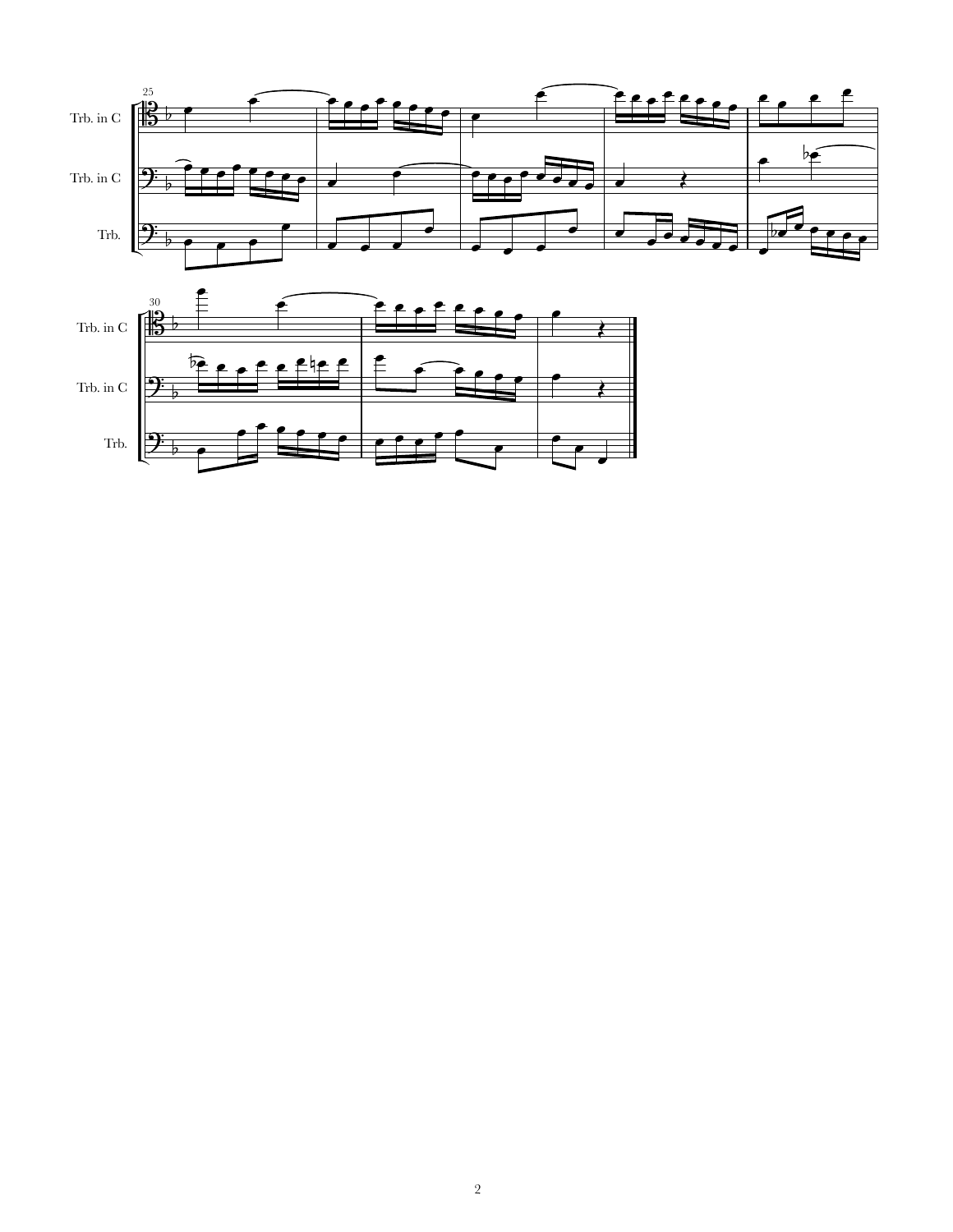

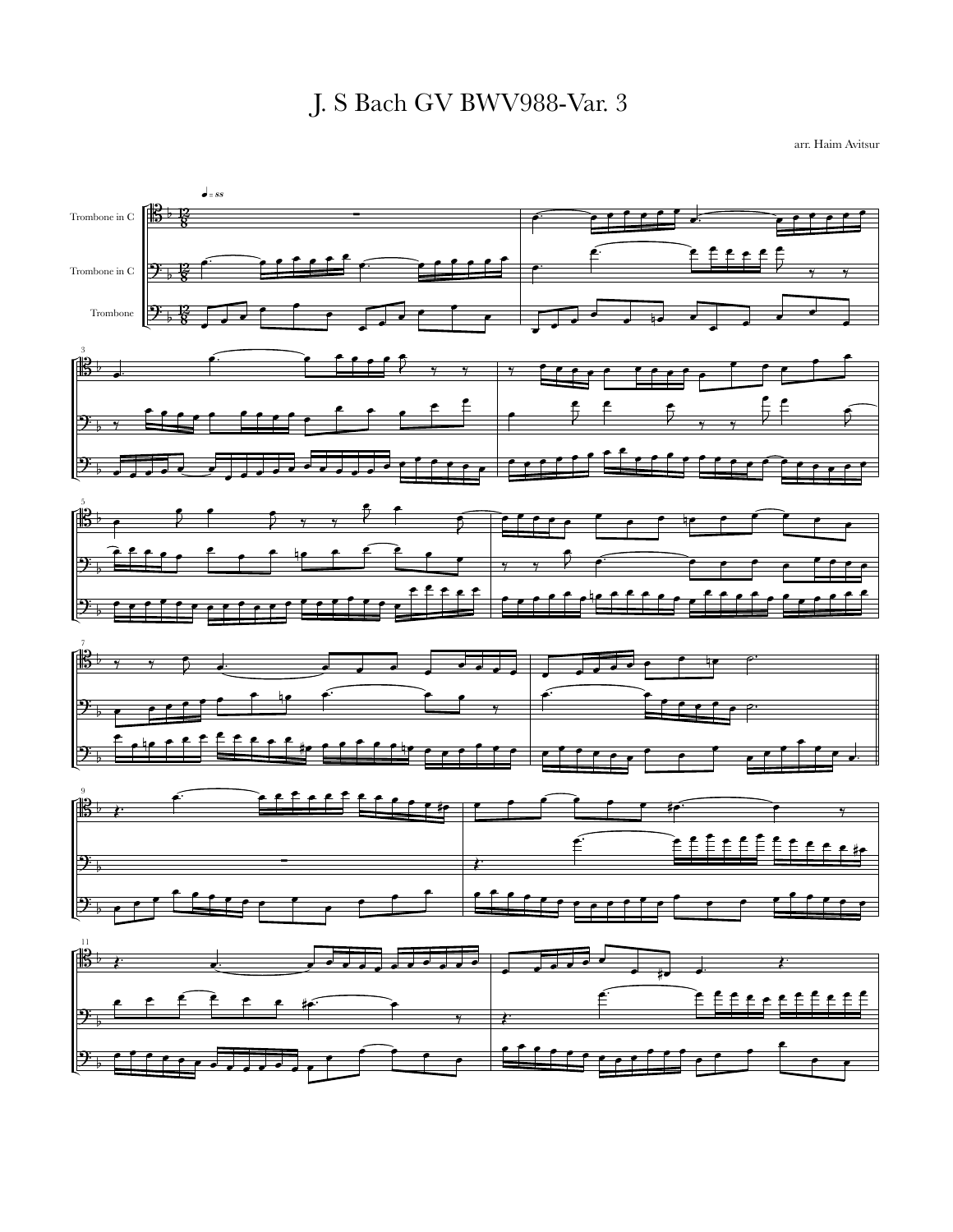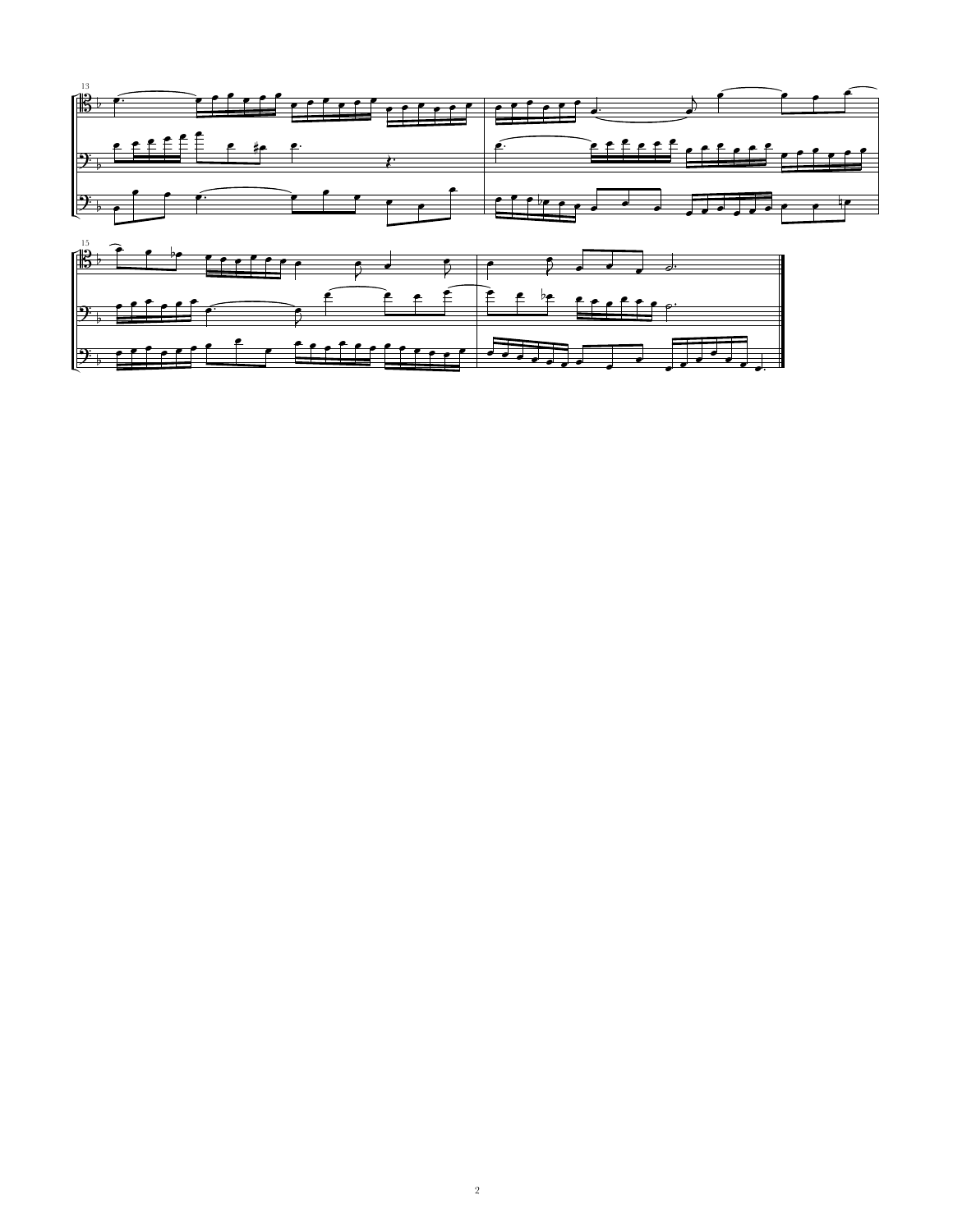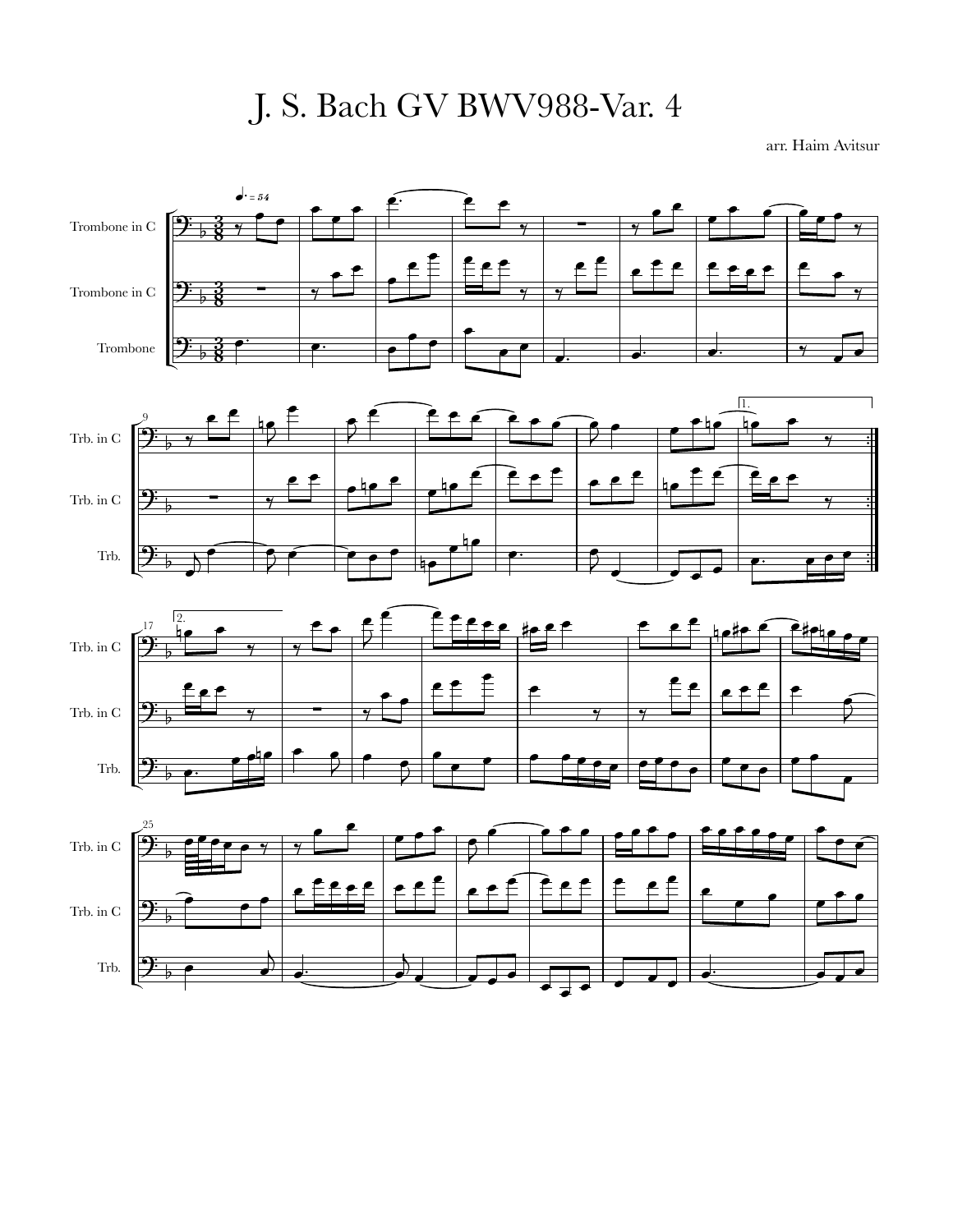

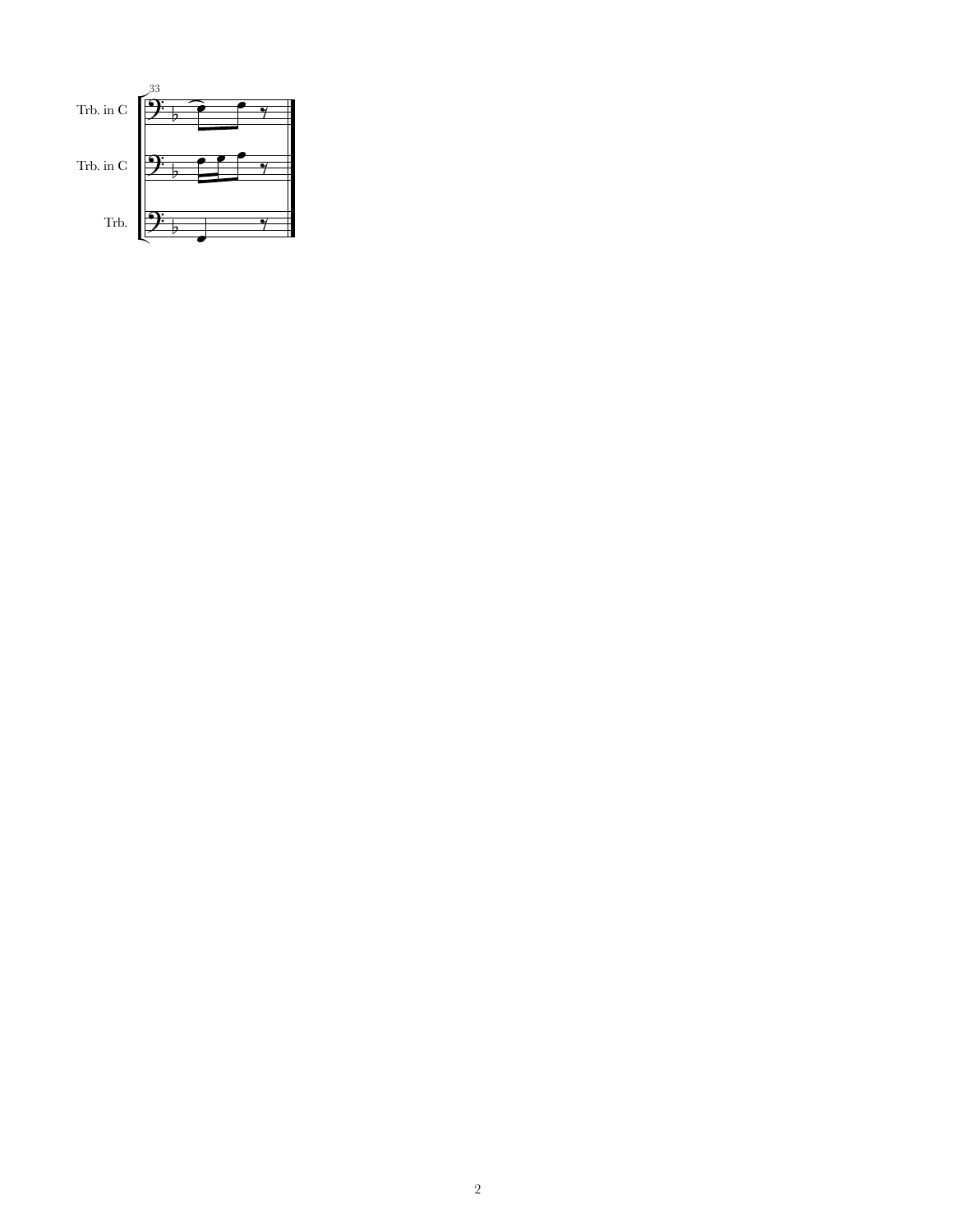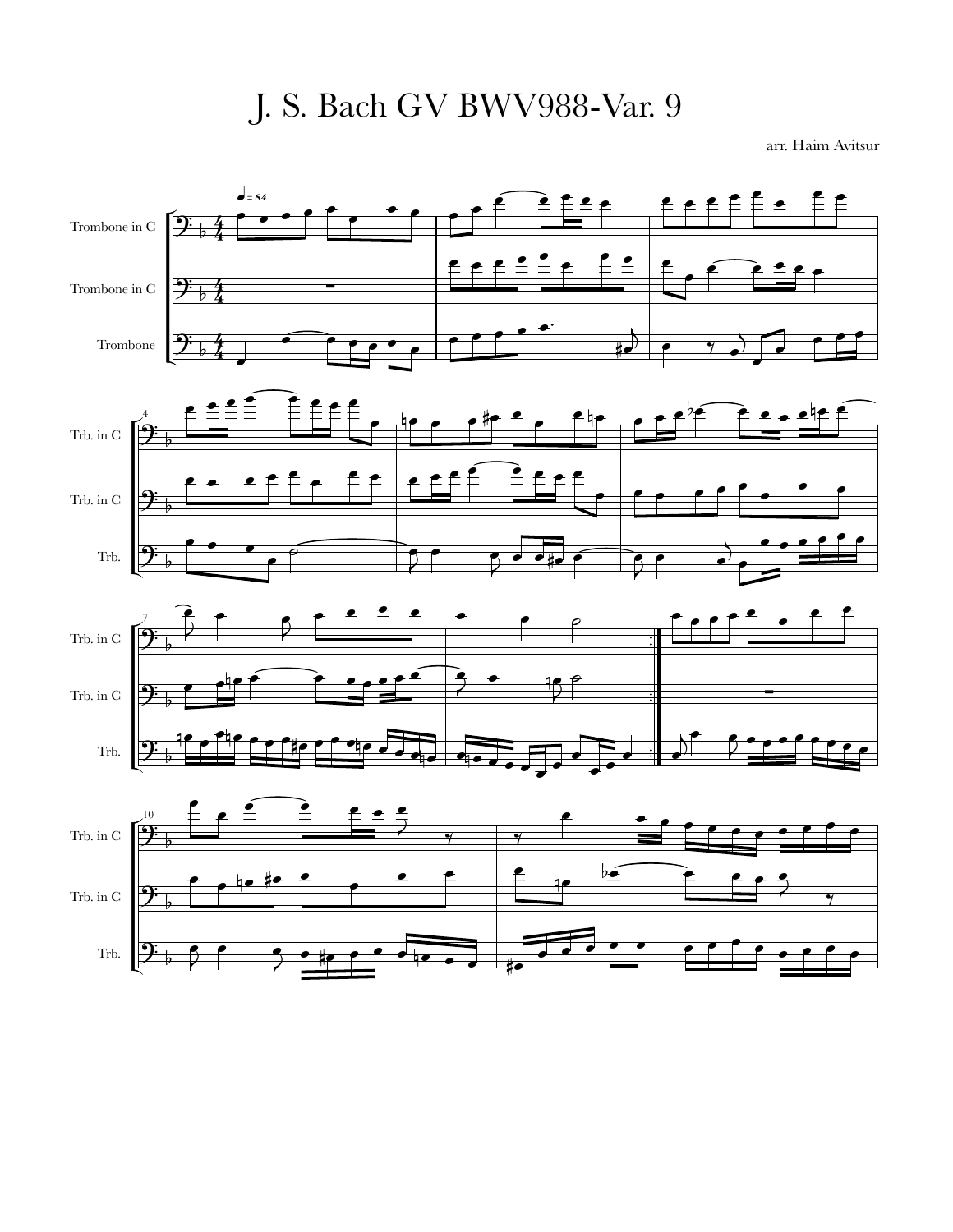J. S. Bach GV BWV988-Var. 9

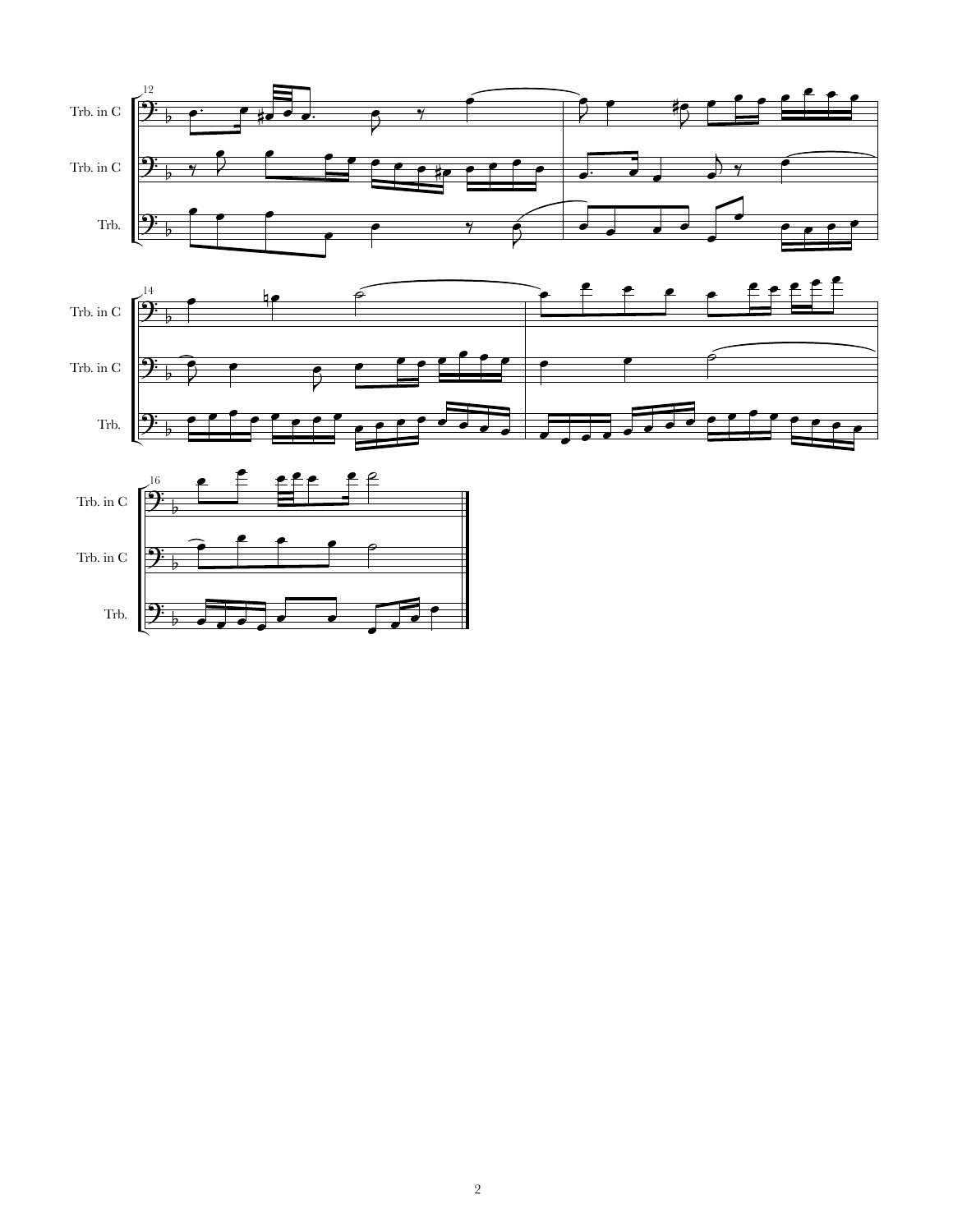



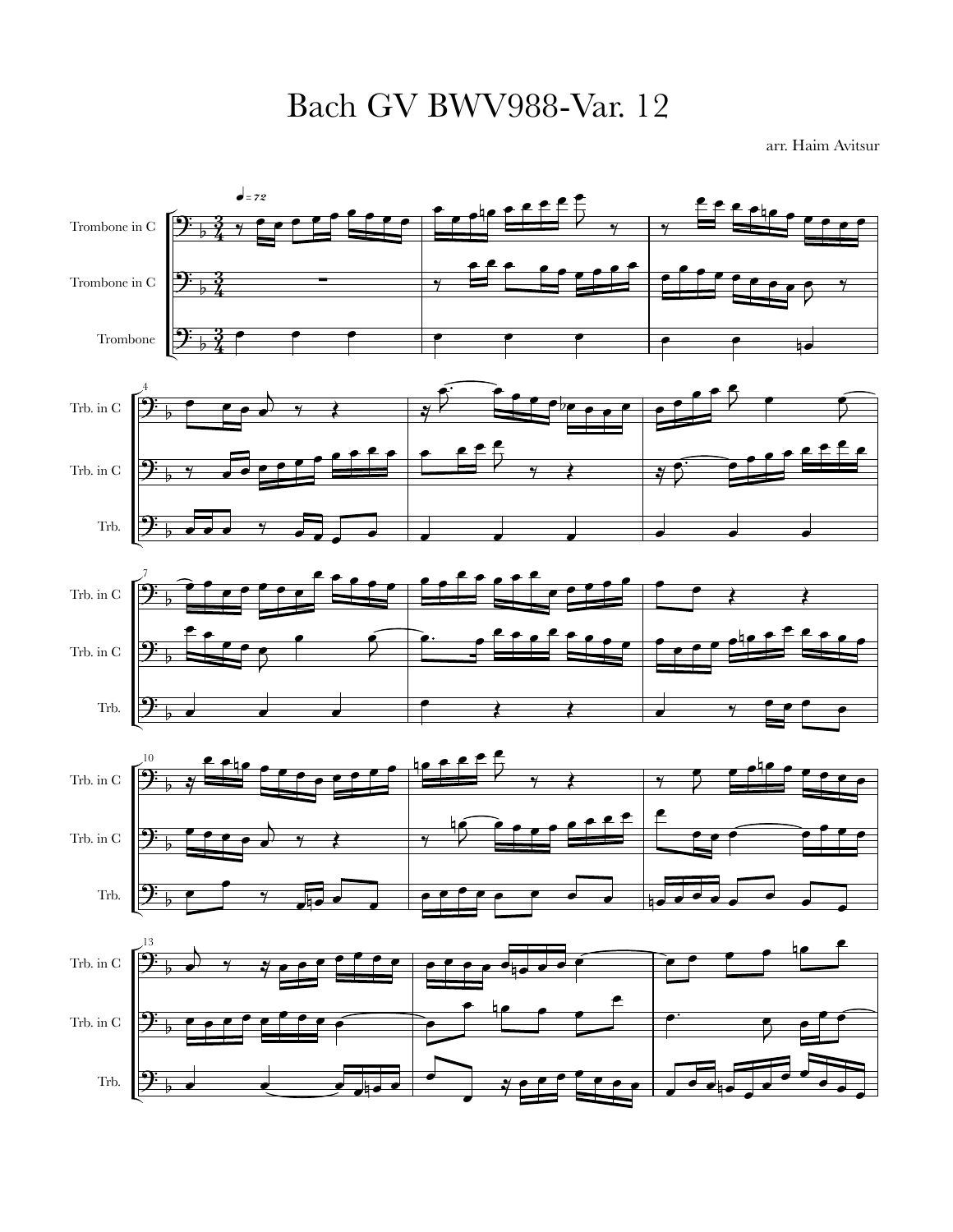Bach GV BWV988-Var. 12

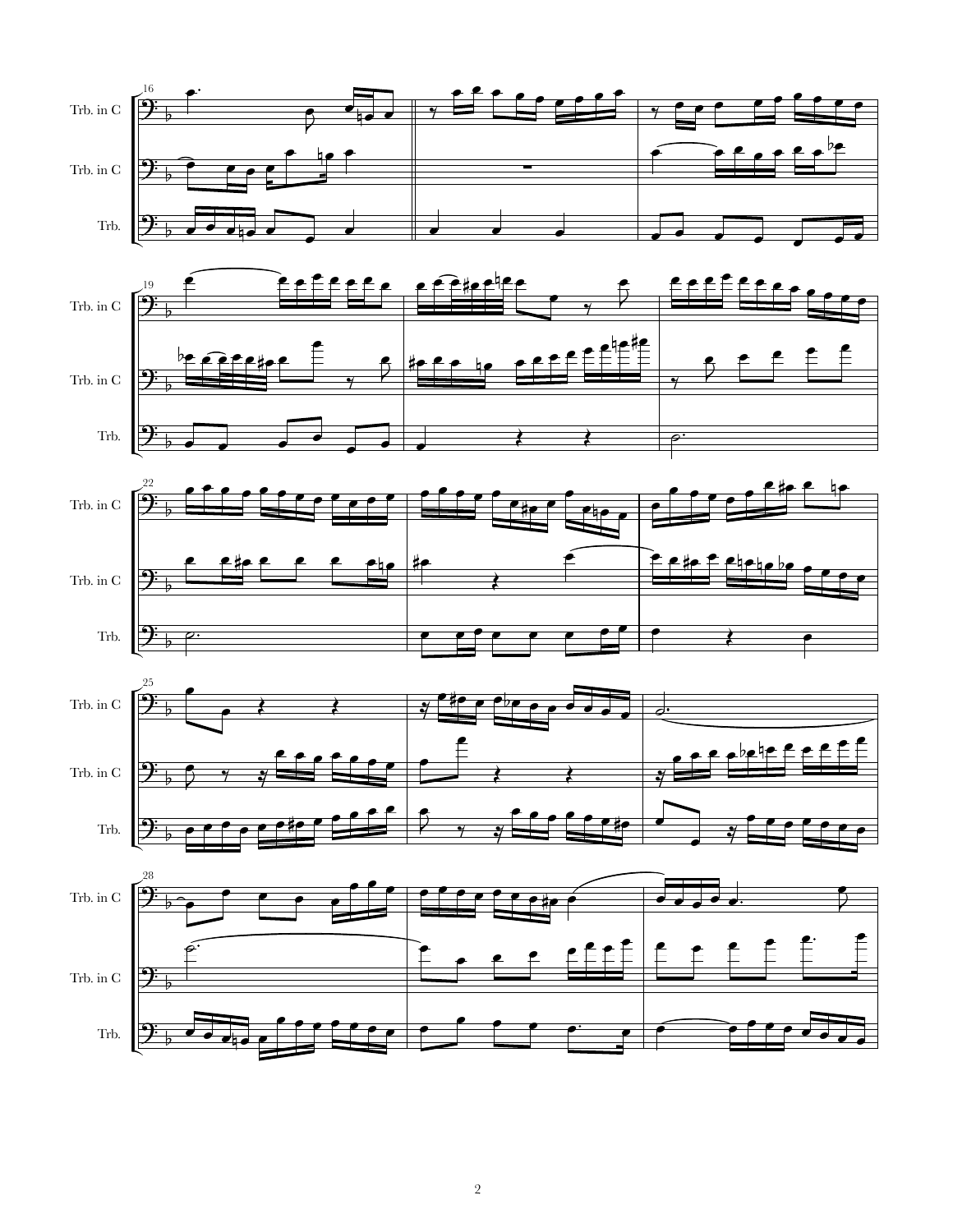

 $\overline{2}$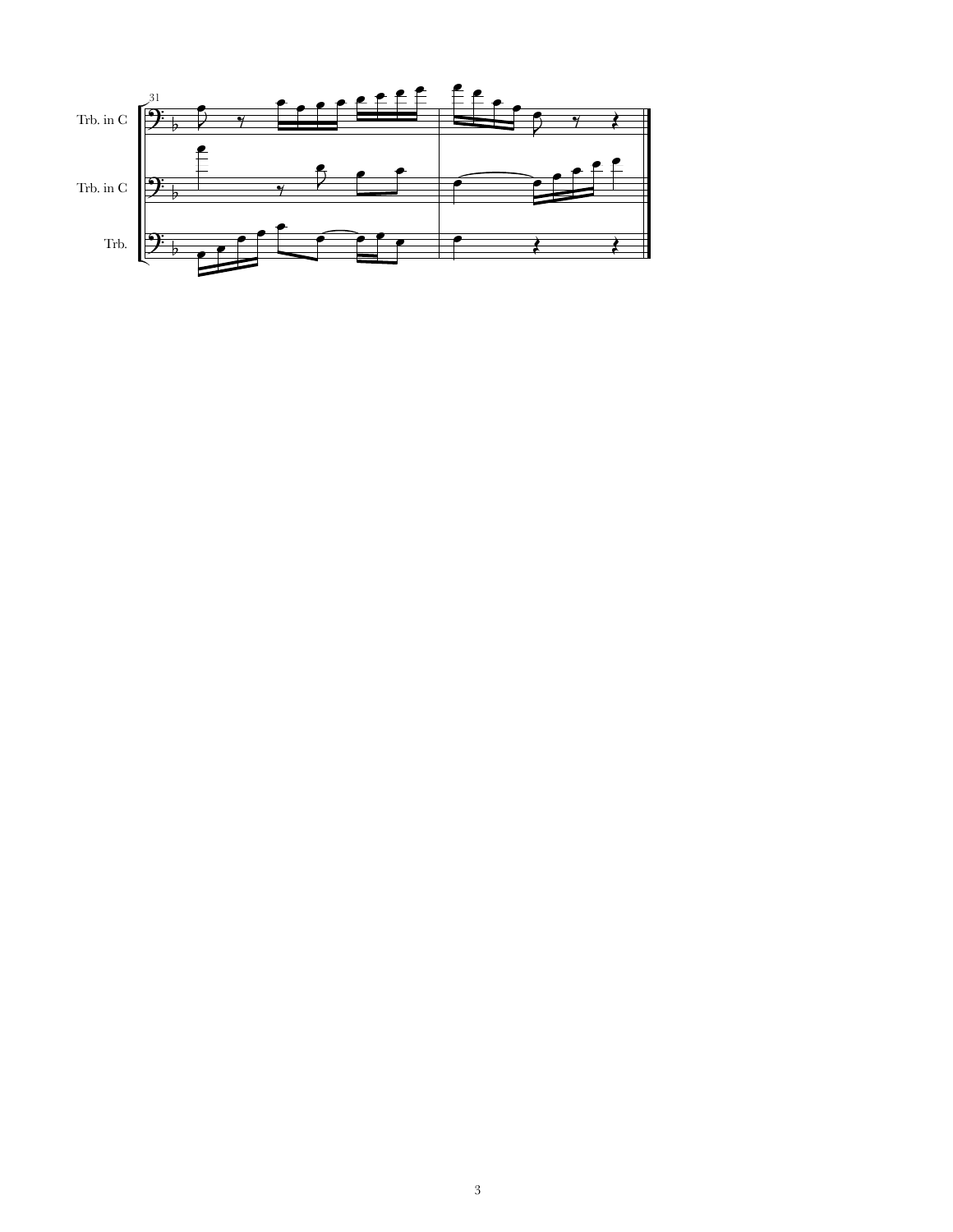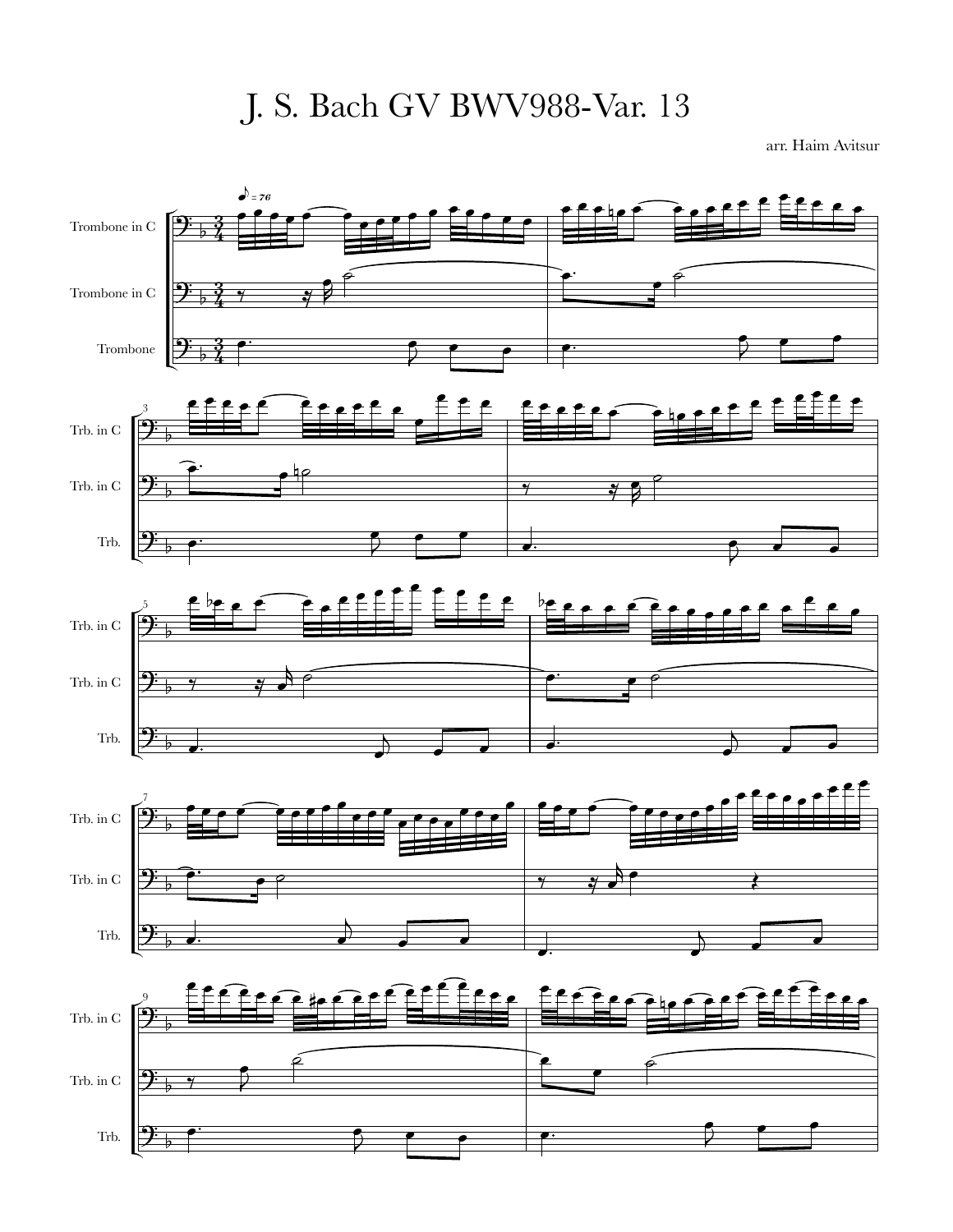

![](_page_14_Figure_3.jpeg)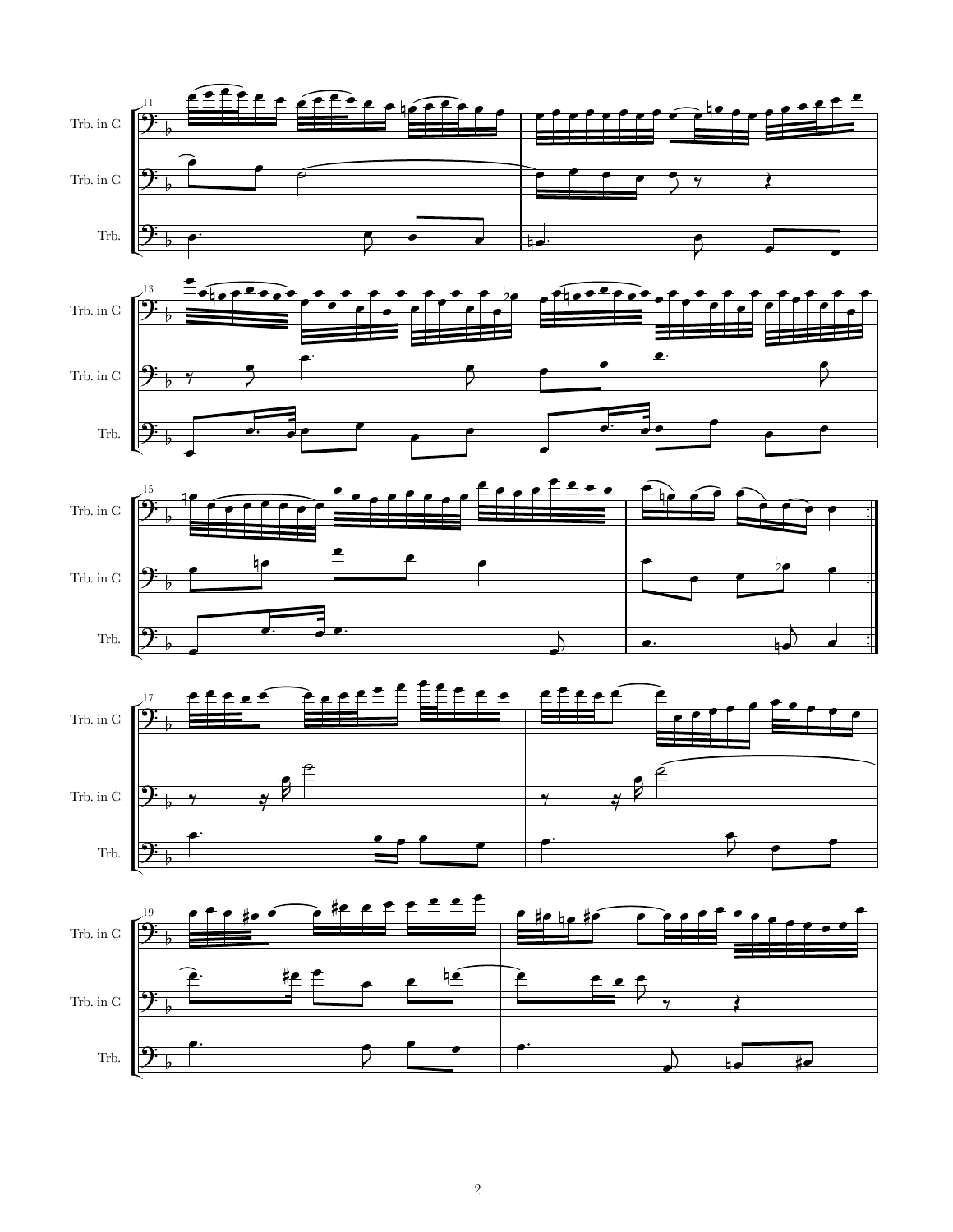![](_page_15_Figure_0.jpeg)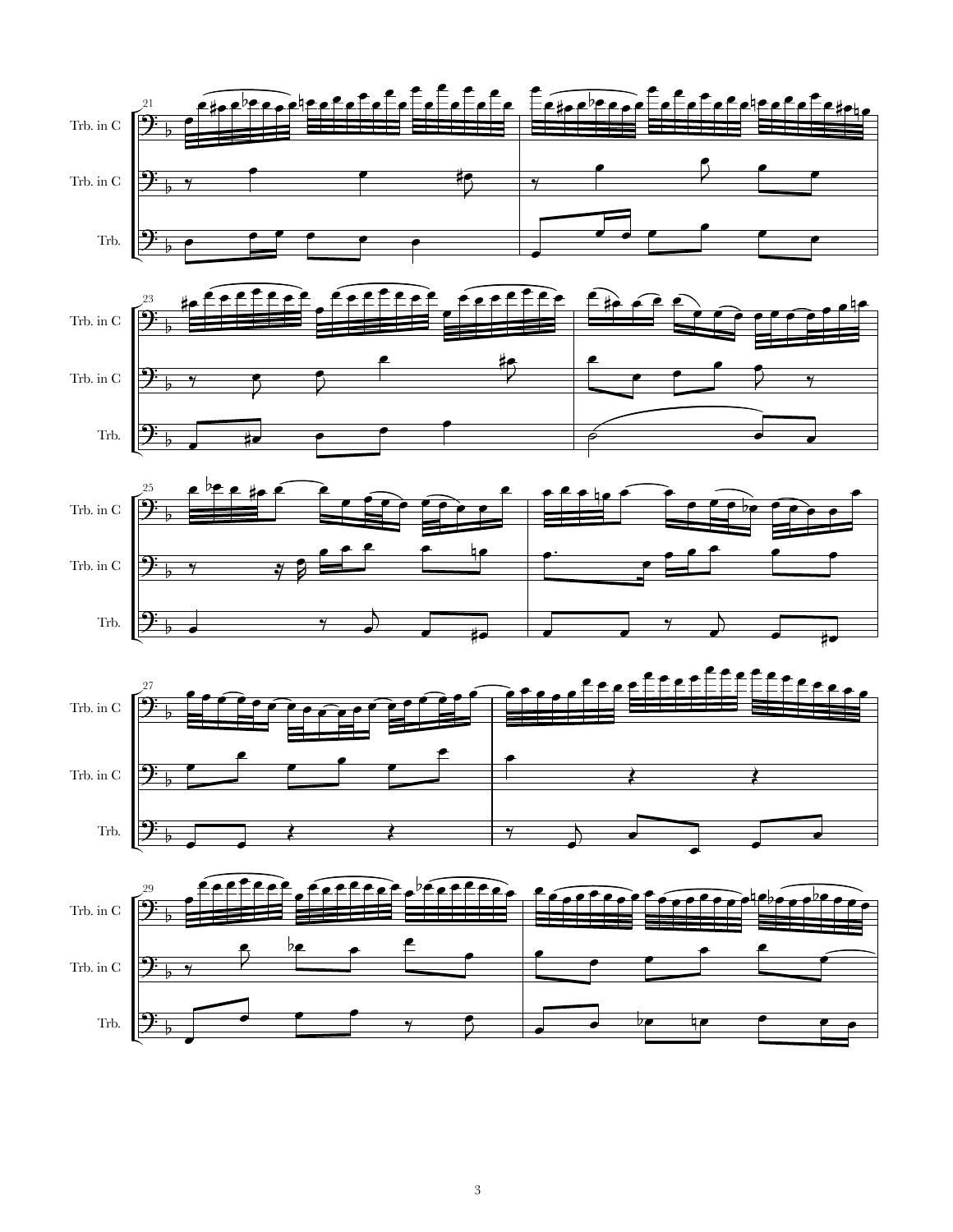![](_page_16_Figure_0.jpeg)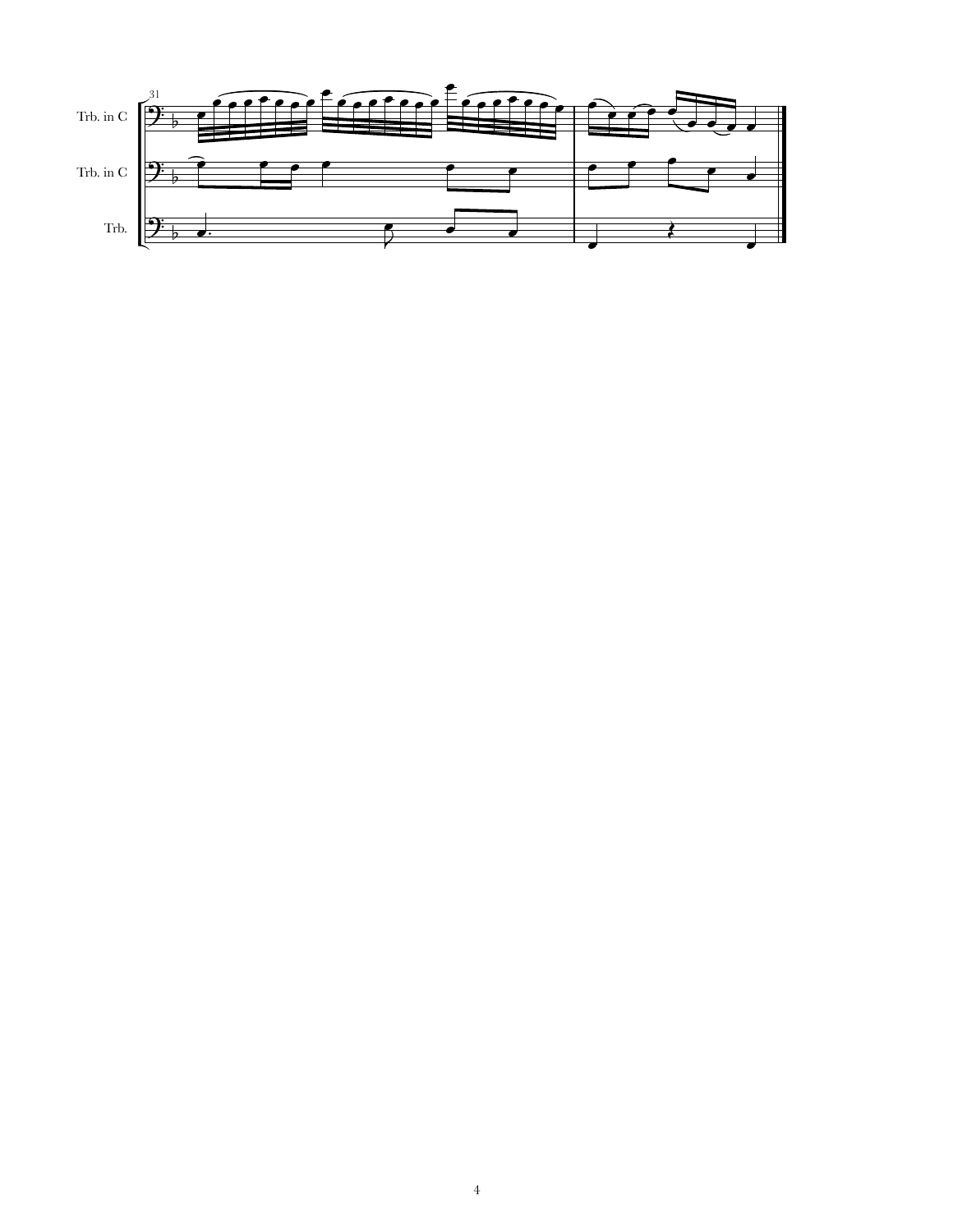![](_page_17_Figure_0.jpeg)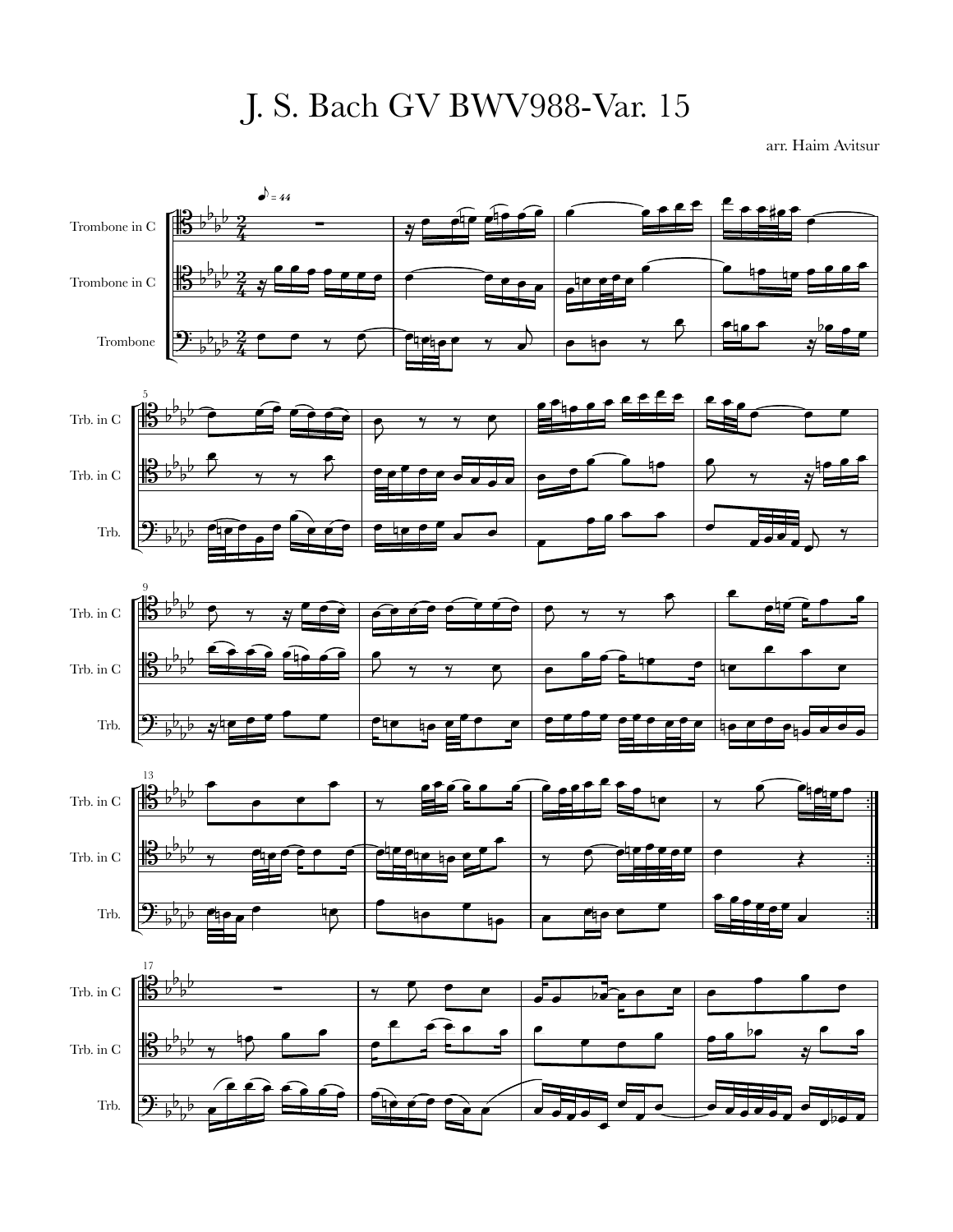![](_page_18_Figure_2.jpeg)

![](_page_18_Figure_3.jpeg)

![](_page_18_Figure_4.jpeg)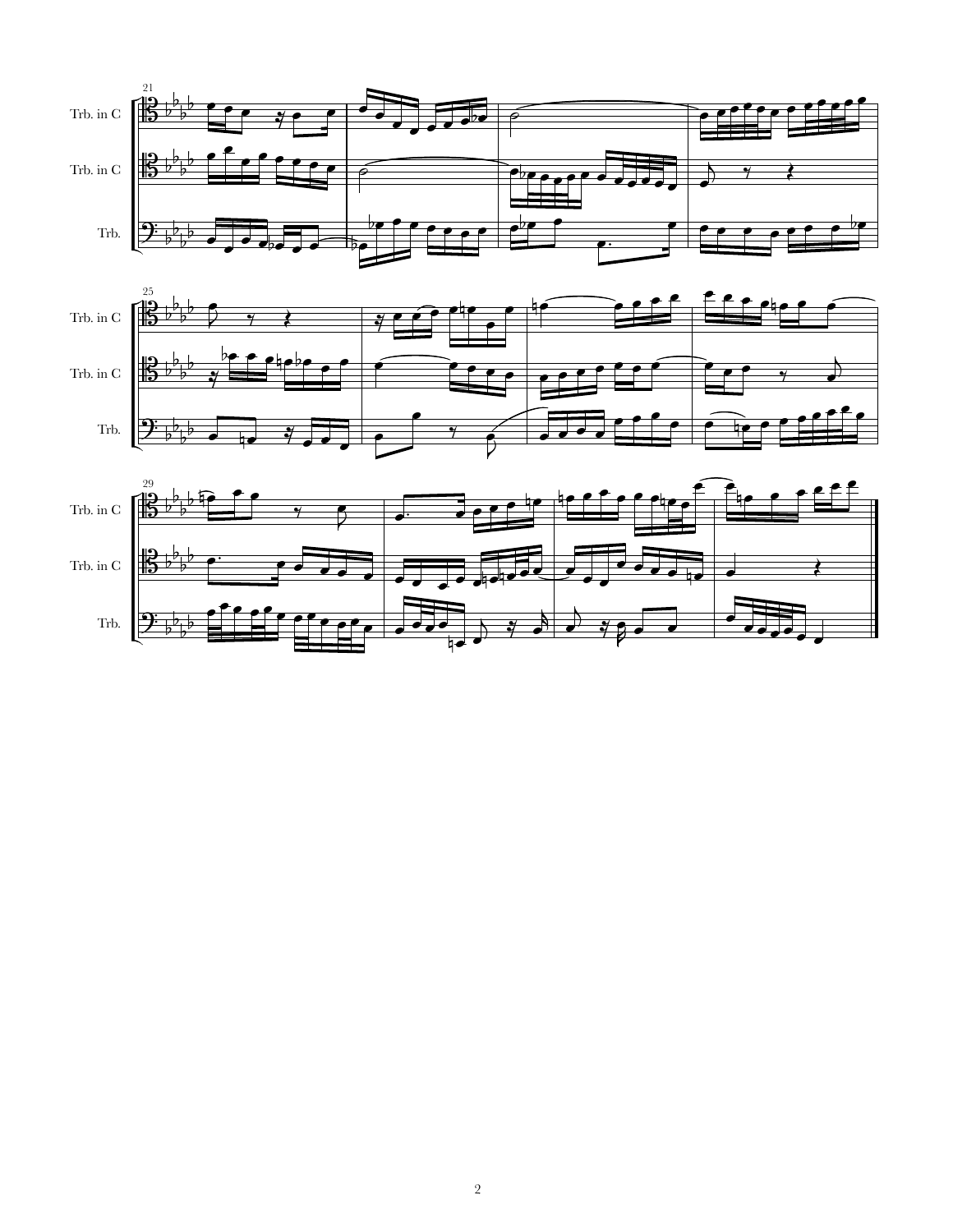![](_page_19_Figure_0.jpeg)

![](_page_19_Figure_1.jpeg)

![](_page_19_Figure_2.jpeg)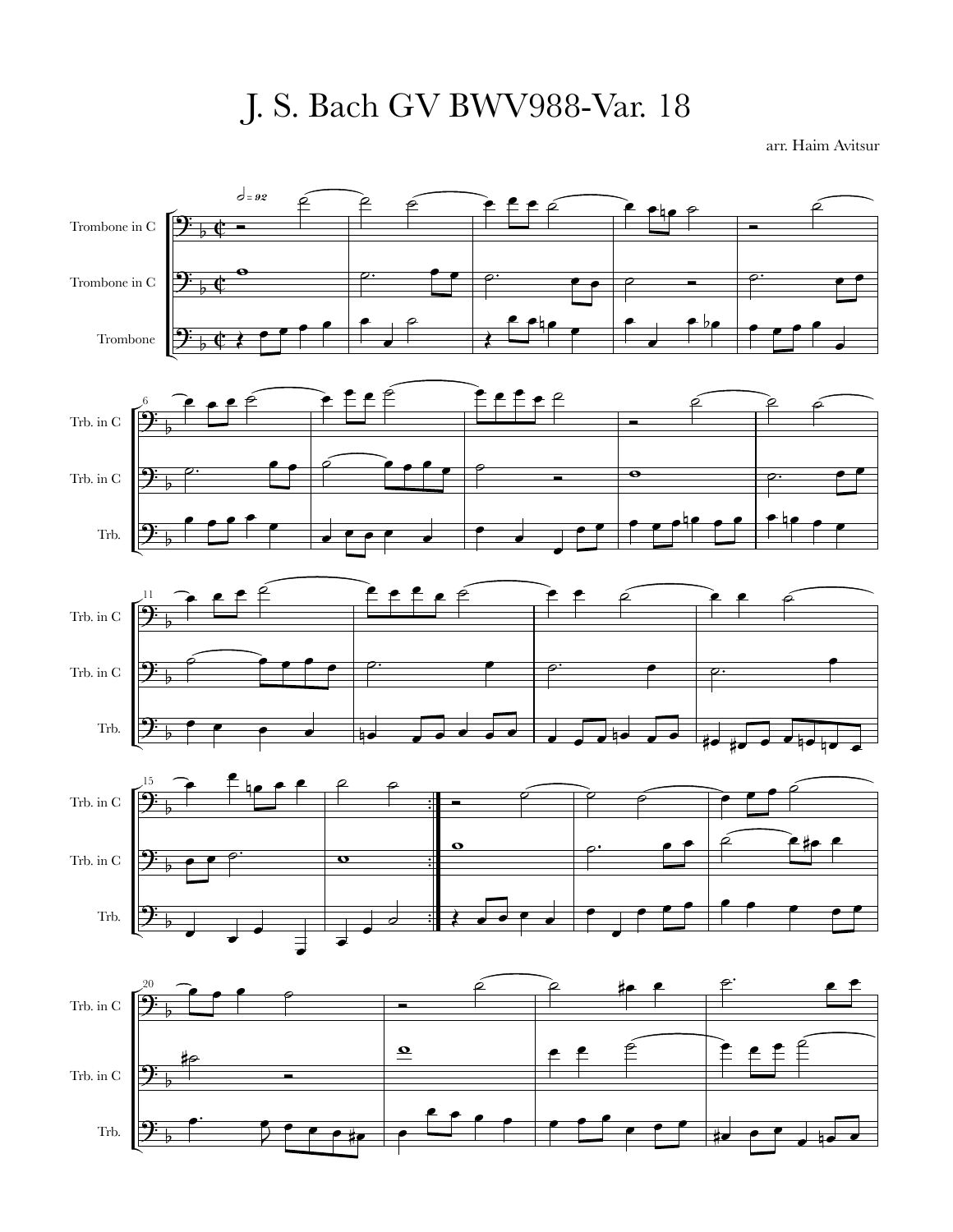J. S. Bach GV BWV988-Var. 18

![](_page_20_Figure_2.jpeg)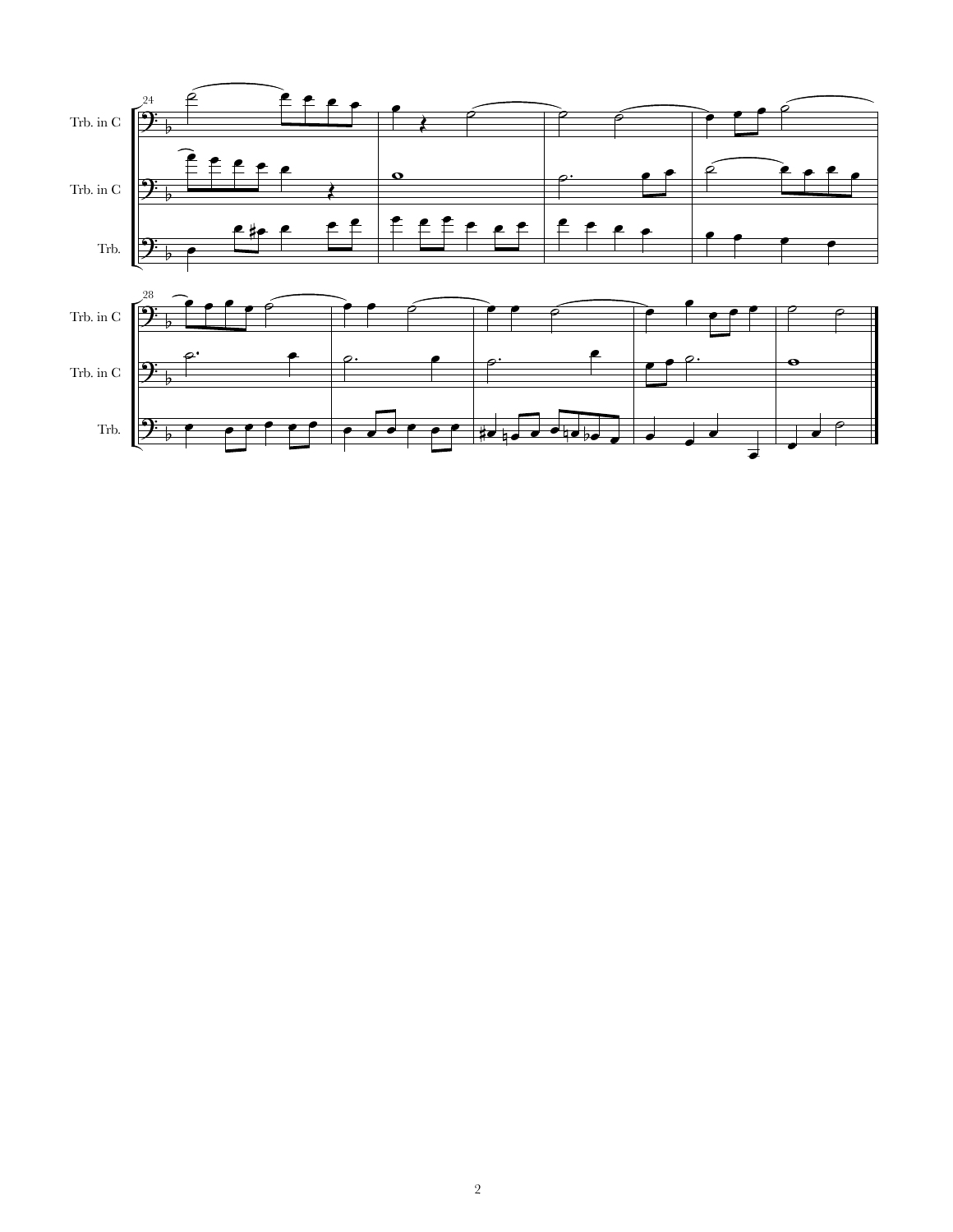![](_page_21_Figure_0.jpeg)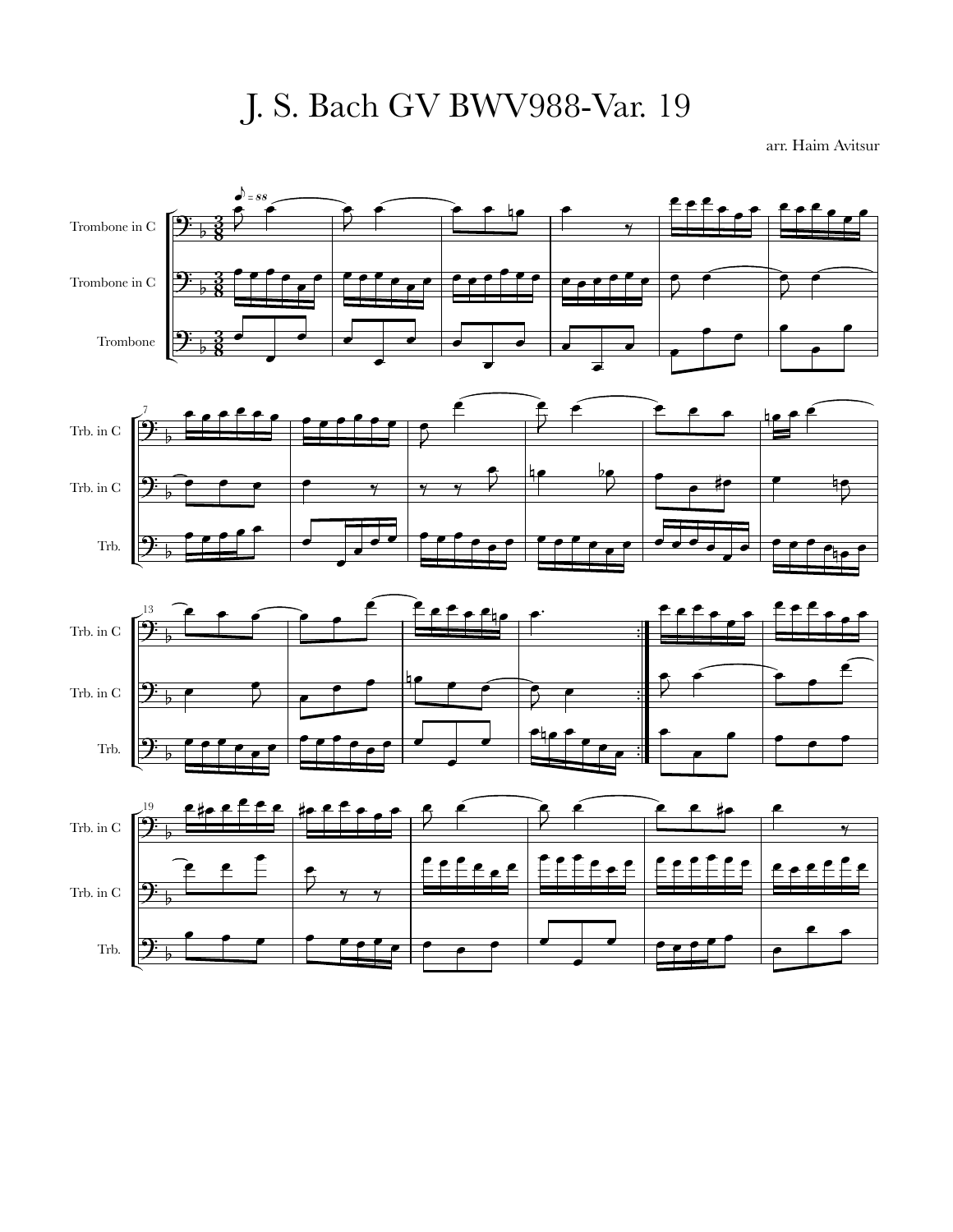J. S. Bach GV BWV988-Var. 19

![](_page_22_Figure_2.jpeg)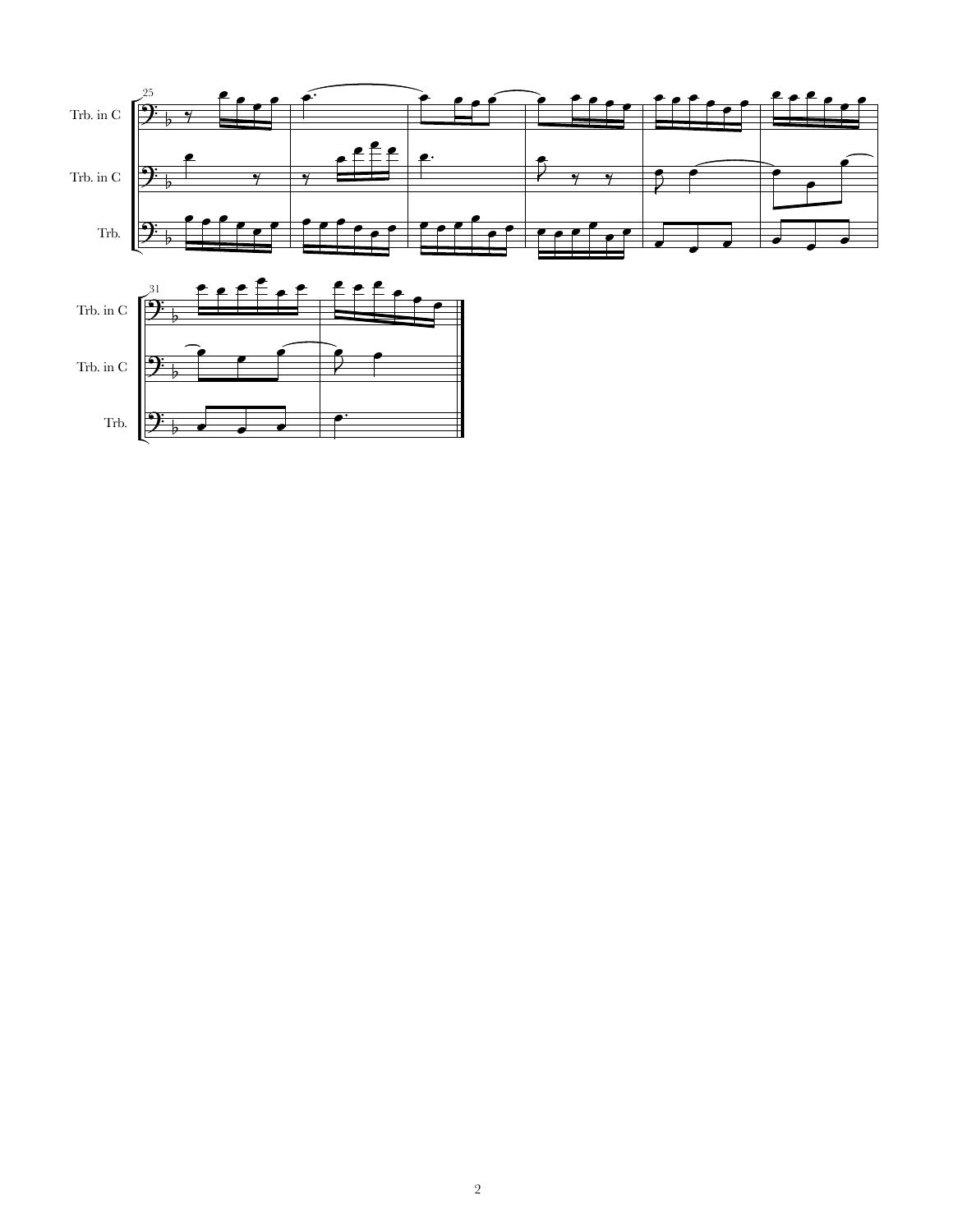![](_page_23_Figure_0.jpeg)

![](_page_23_Figure_1.jpeg)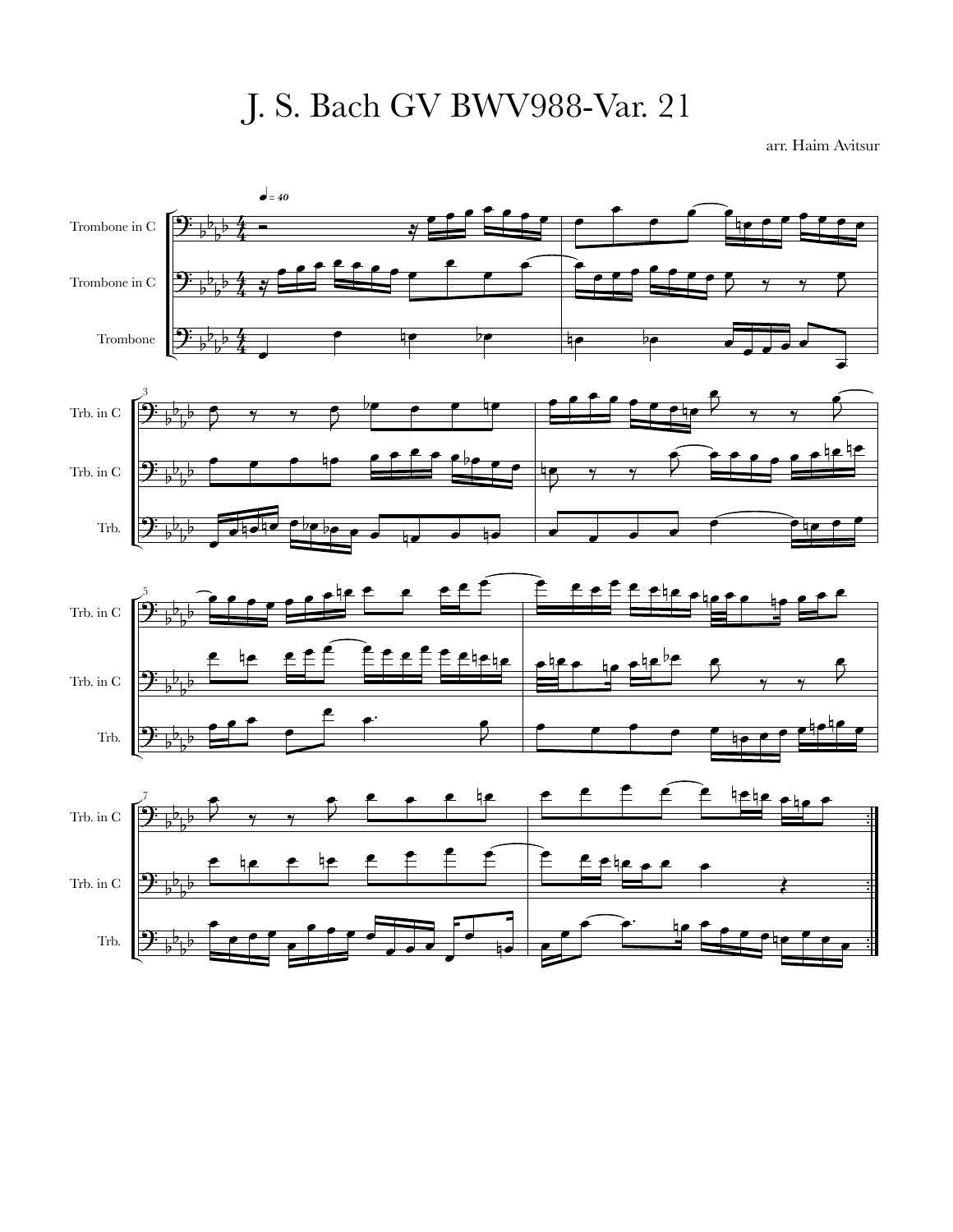![](_page_24_Figure_2.jpeg)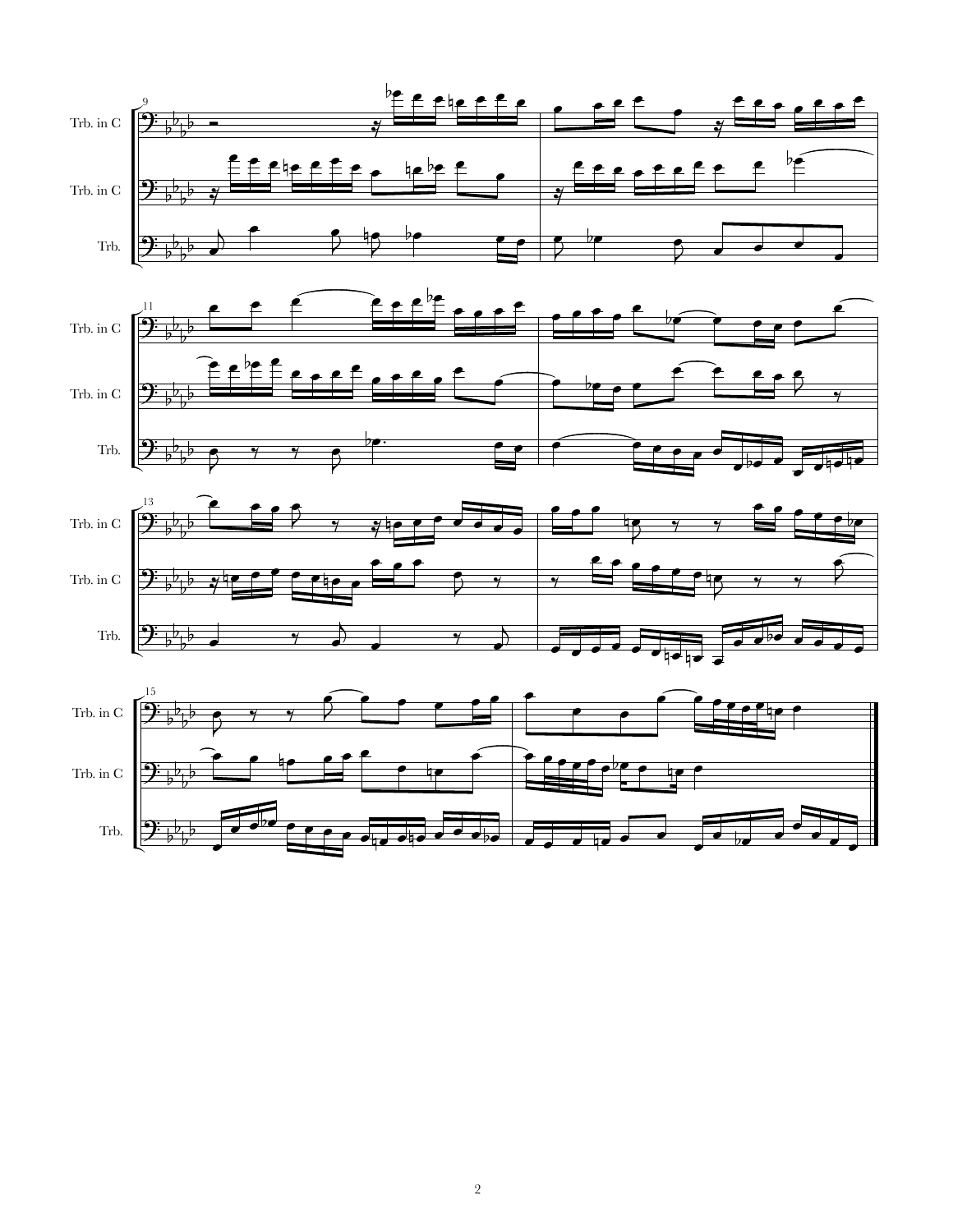![](_page_25_Figure_0.jpeg)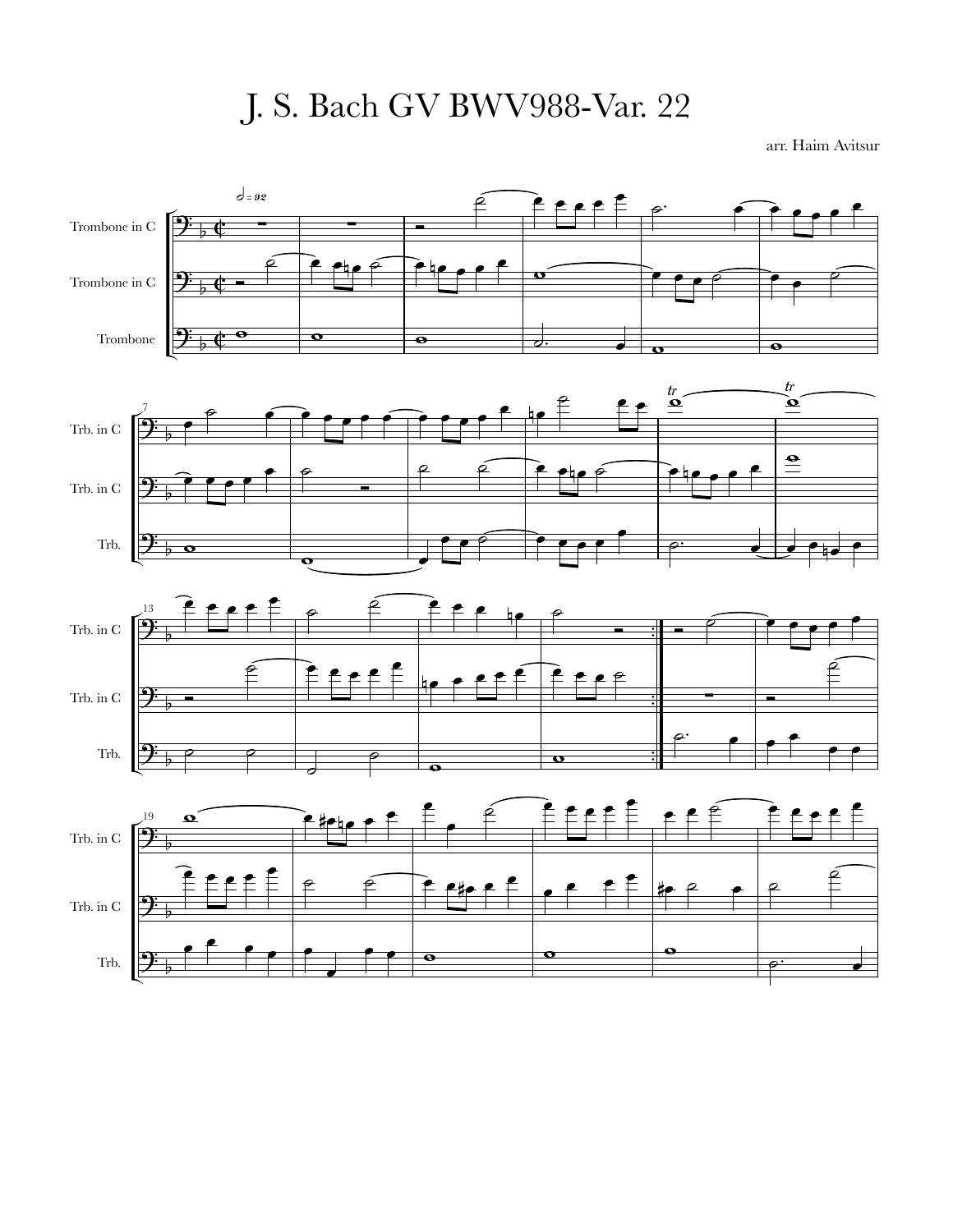![](_page_26_Figure_2.jpeg)

J. S. Bach GV BWV988-Var. 22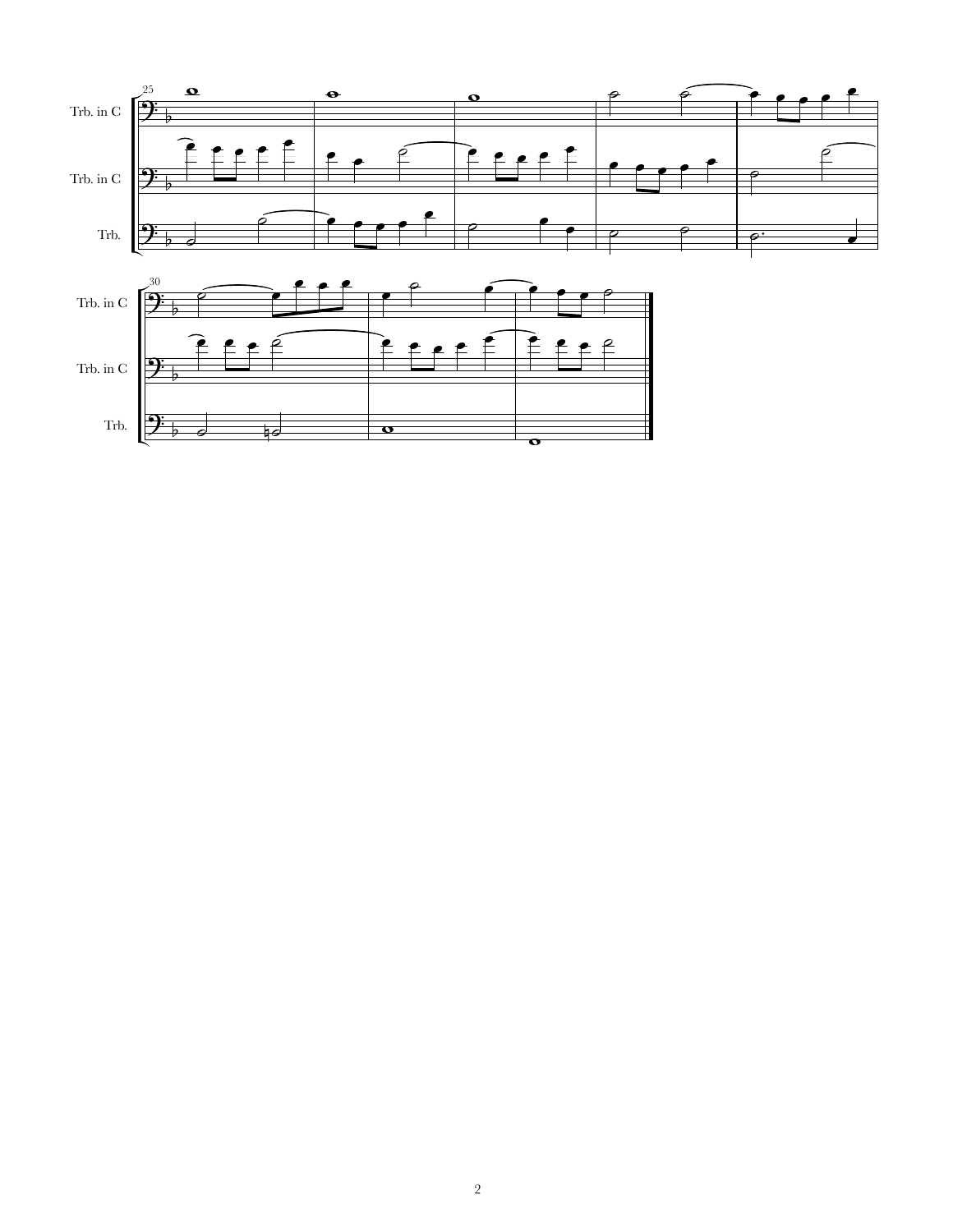![](_page_27_Figure_0.jpeg)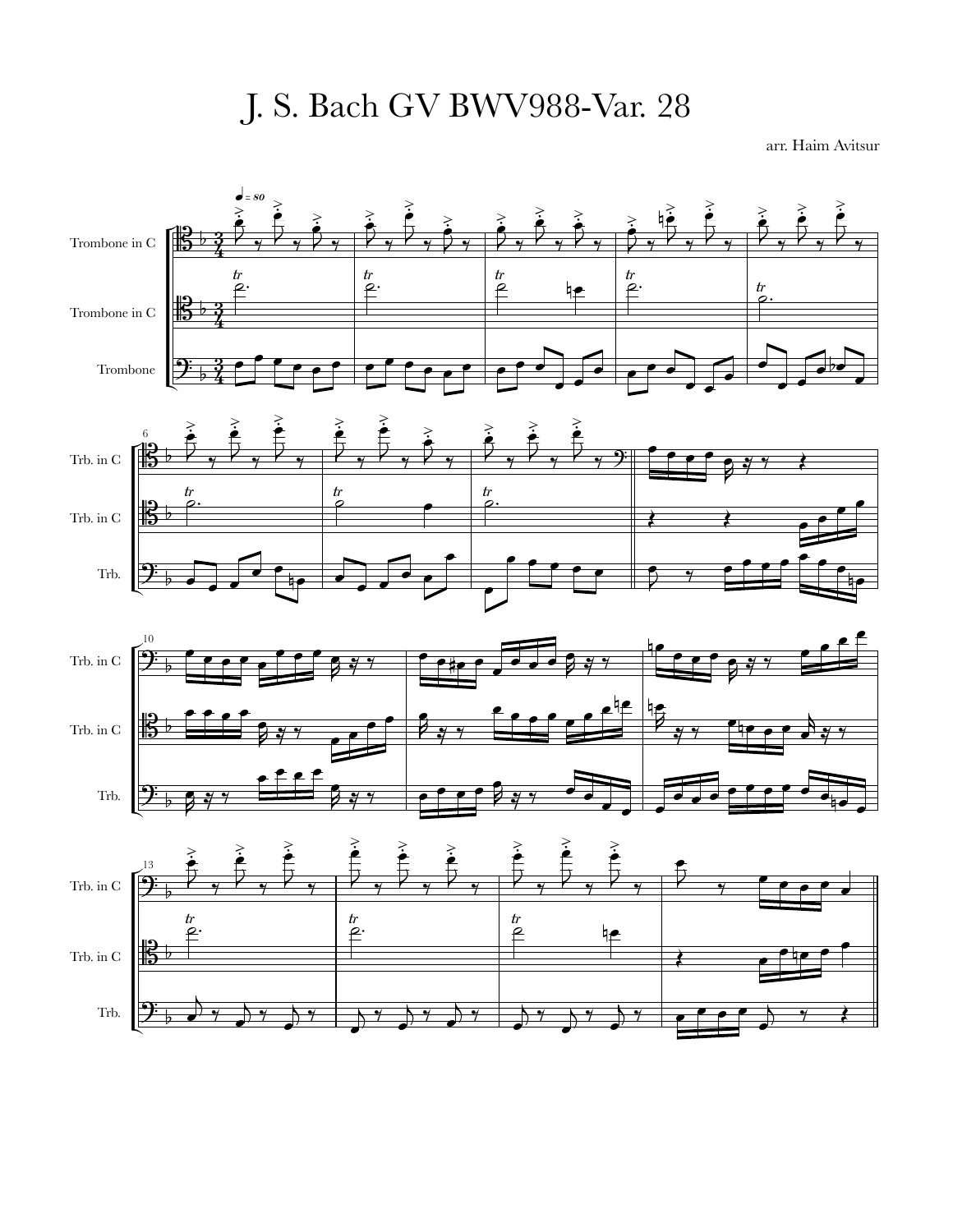J. S. Bach GV BWV988-Var. 28

![](_page_28_Figure_2.jpeg)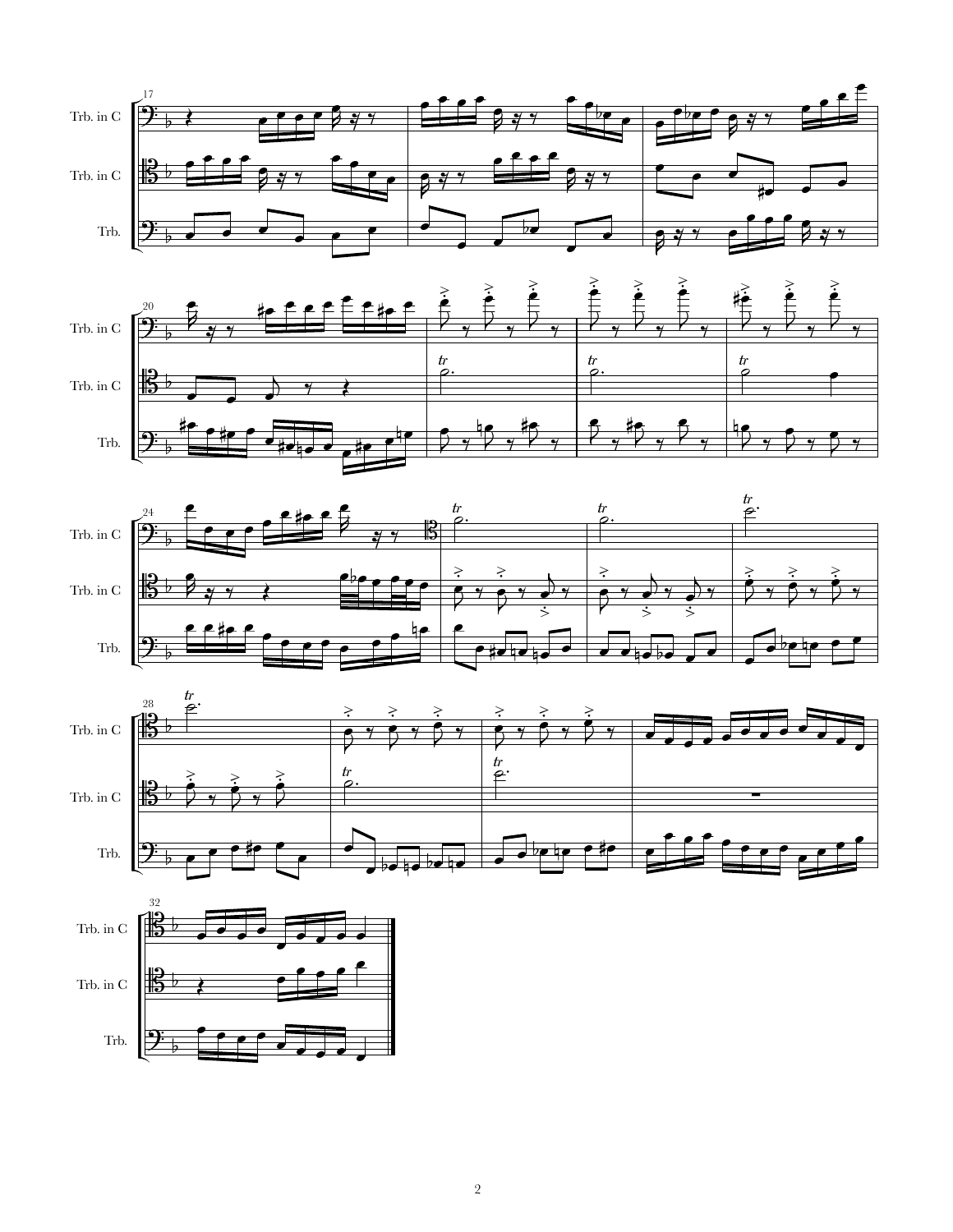![](_page_29_Figure_0.jpeg)

![](_page_29_Figure_1.jpeg)

![](_page_29_Figure_2.jpeg)

![](_page_29_Figure_3.jpeg)

![](_page_29_Figure_4.jpeg)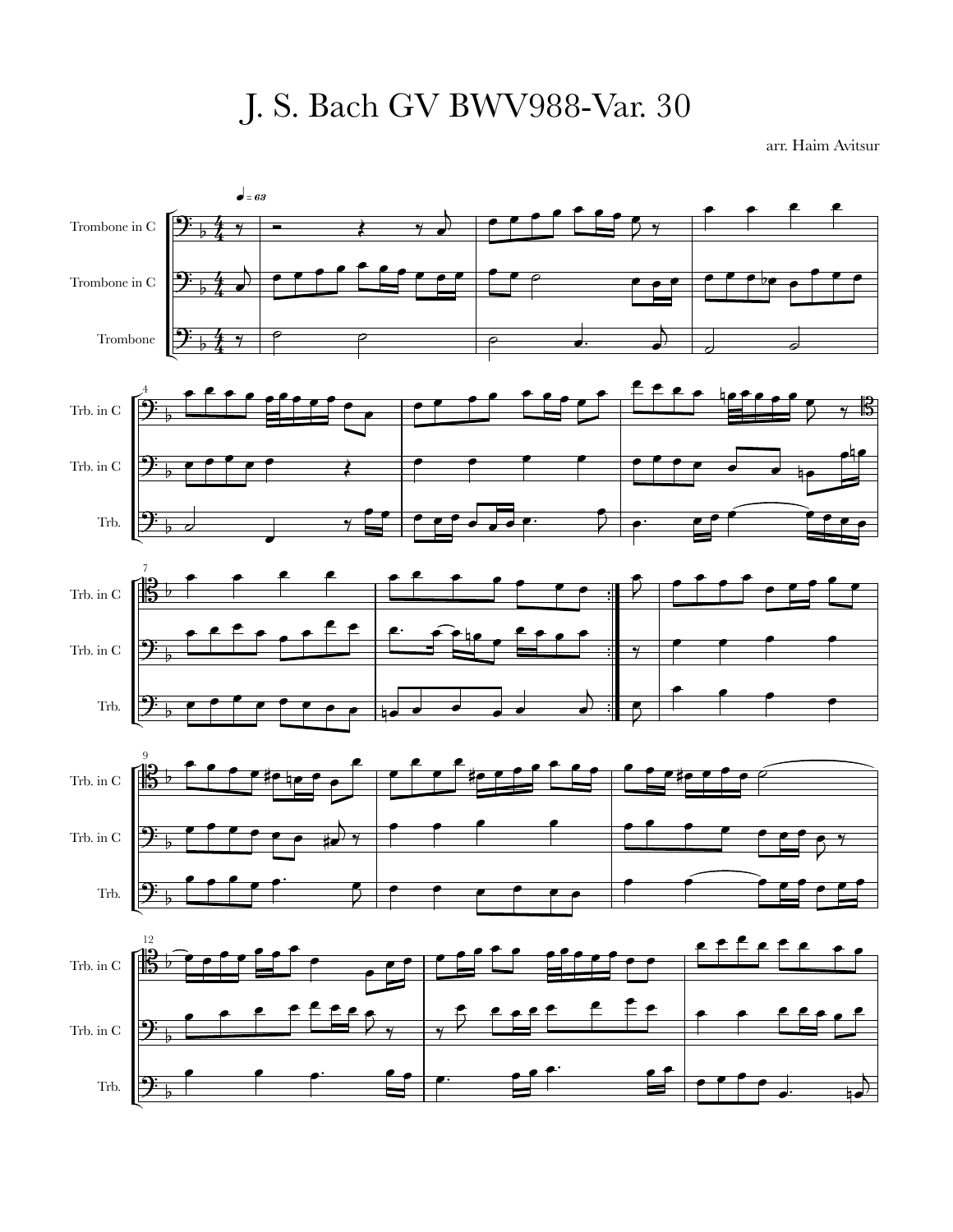![](_page_30_Figure_2.jpeg)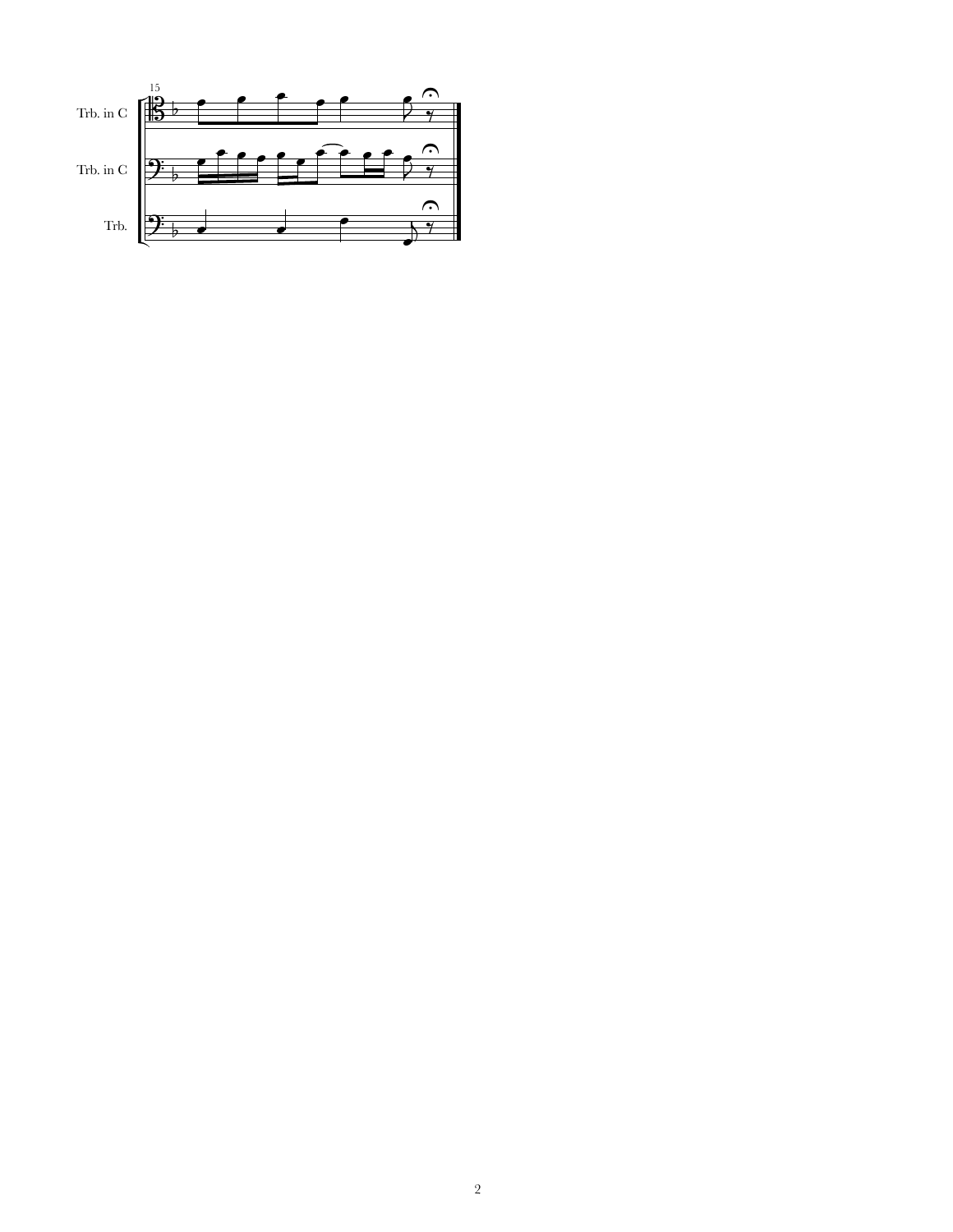![](_page_31_Figure_0.jpeg)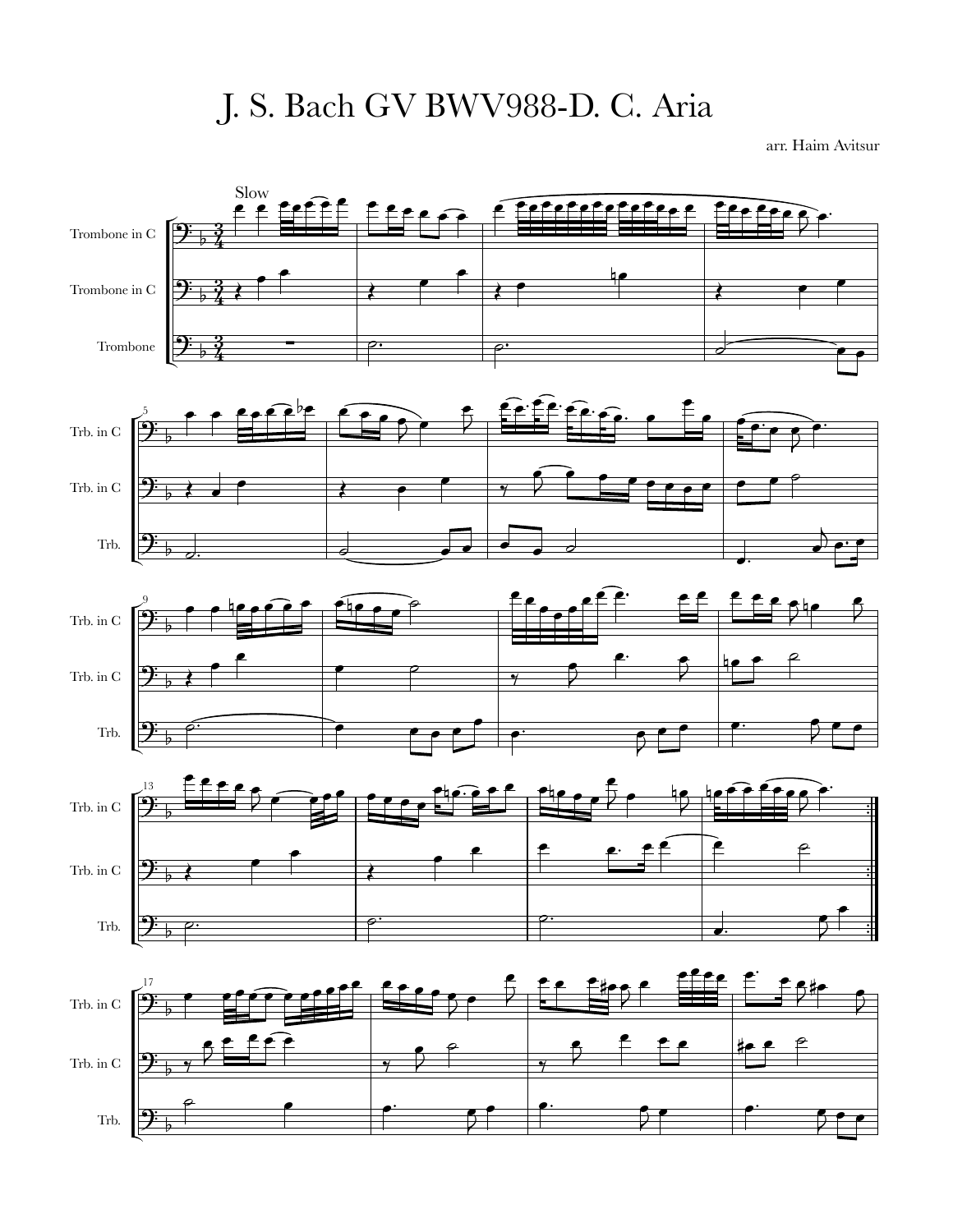![](_page_32_Figure_2.jpeg)